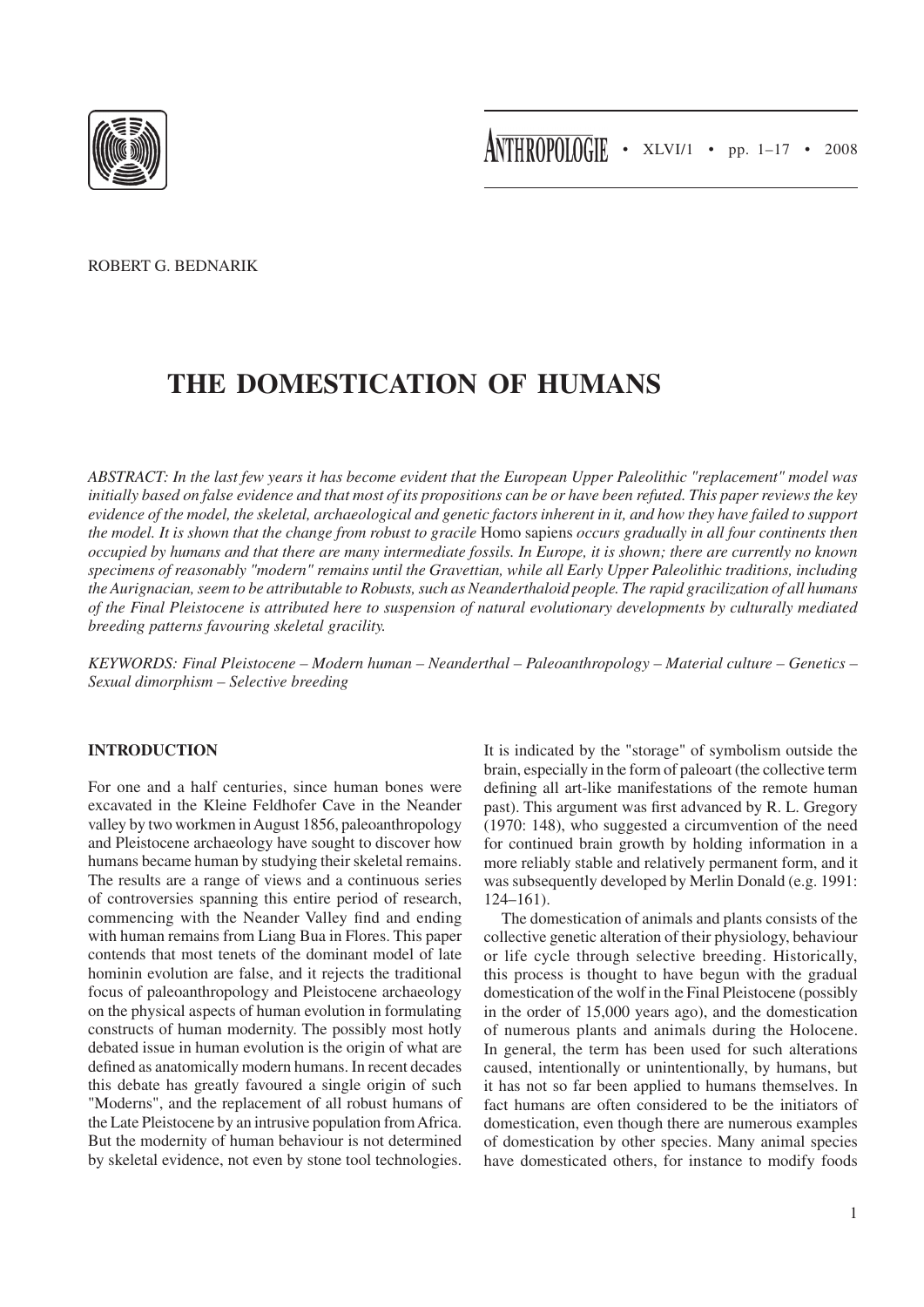

Robert G. Bednarik

# **The Domestication of Humans**

*Abstract: In the last few years it has become evident that the European Upper Paleolithic "replacement" model was initially based on false evidence and that most of its propositions can be or have been refuted. This paper reviews the key evidence of the model, the skeletal, archaeological and genetic factors inherent in it, and how they have failed to support the model. It is shown that the change from robust to gracile* Homo sapiens *occurs gradually in all four continents then occupied by humans and that there are many intermediate fossils. In Europe, it is shown; there are currently no known specimens of reasonably "modern" remains until the Gravettian, while all Early Upper Paleolithic traditions, including the Aurignacian, seem to be attributable to Robusts, such as Neanderthaloid people. The rapid gracilization of all humans of the Final Pleistocene is attributed here to suspension of natural evolutionary developments by culturally mediated breeding patterns favouring skeletal gracility.*

*Keywords: Final Pleistocene – Modern human – Neanderthal – Paleoanthropology – Material culture – Genetics – Sexual dimorphism – Selective breeding*

## **Introduction**

For one and a half centuries, since human bones were excavated in the Kleine Feldhofer Cave in the Neander valley by two workmen in August 1856, paleoanthropology and Pleistocene archaeology have sought to discover how humans became human by studying their skeletal remains. The results are a range of views and a continuous series of controversies spanning this entire period of research, commencing with the Neander Valley find and ending with human remains from Liang Bua in Flores. This paper contends that most tenets of the dominant model of late hominin evolution are false, and it rejects the traditional focus of paleoanthropology and Pleistocene archaeology on the physical aspects of human evolution in formulating constructs of human modernity. The possibly most hotly debated issue in human evolution is the origin of what are defined as anatomically modern humans. In recent decades this debate has greatly favoured a single origin of such "Moderns", and the replacement of all robust humans of the Late Pleistocene by an intrusive population from Africa. But the modernity of human behaviour is not determined by skeletal evidence, not even by stone tool technologies.

It is indicated by the "storage" of symbolism outside the brain, especially in the form of paleoart (the collective term defining all art-like manifestations of the remote human past). This argument was first advanced by R. L. Gregory (1970: 148), who suggested a circumvention of the need for continued brain growth by holding information in a more reliably stable and relatively permanent form, and it was subsequently developed by Merlin Donald (e.g. 1991: 124–161).

The domestication of animals and plants consists of the collective genetic alteration of their physiology, behaviour or life cycle through selective breeding. Historically, this process is thought to have begun with the gradual domestication of the wolf in the Final Pleistocene (possibly in the order of 15,000 years ago), and the domestication of numerous plants and animals during the Holocene. In general, the term has been used for such alterations caused, intentionally or unintentionally, by humans, but it has not so far been applied to humans themselves. In fact humans are often considered to be the initiators of domestication, even though there are numerous examples of domestication by other species. Many animal species have domesticated others, for instance to modify foods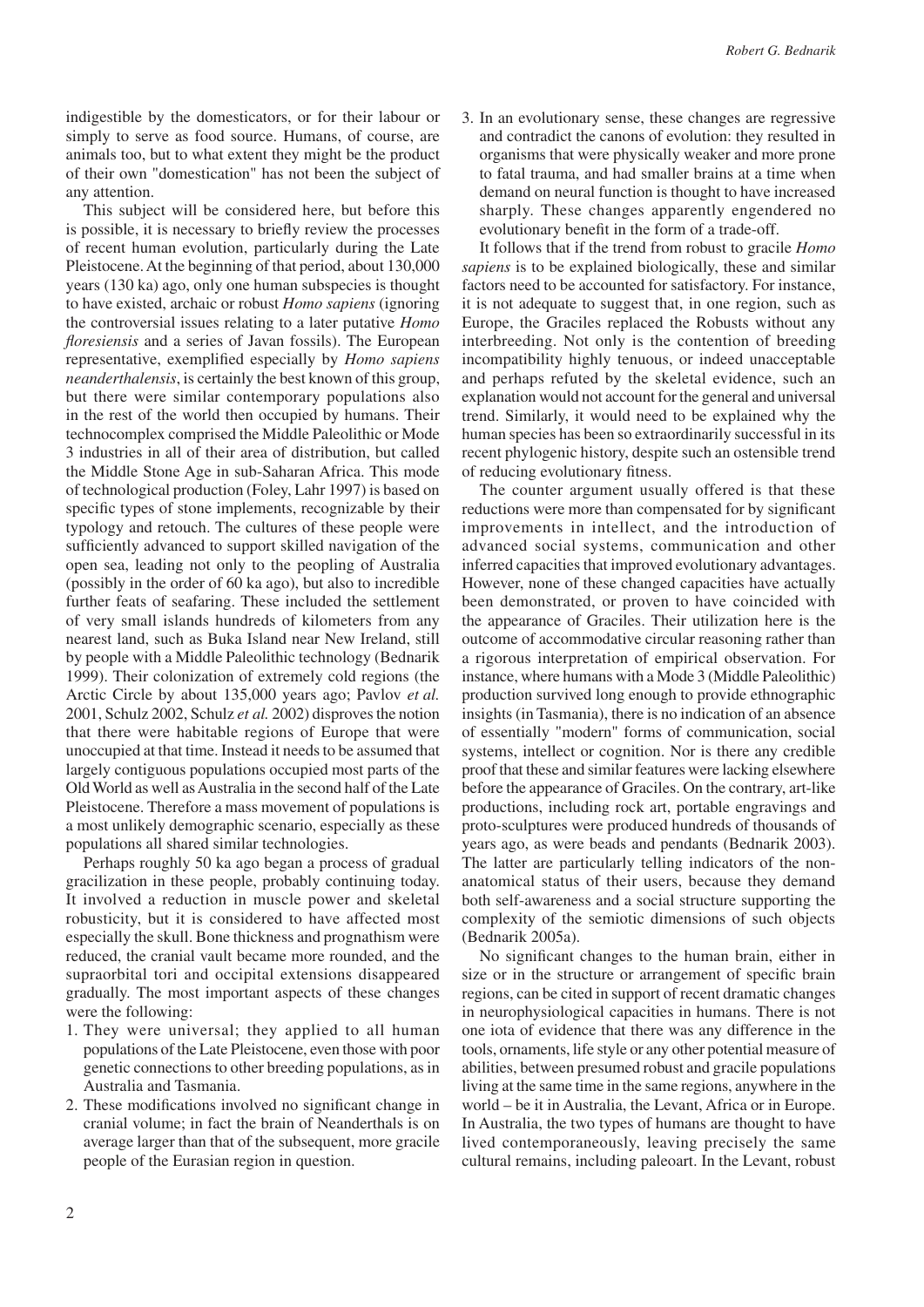indigestible by the domesticators, or for their labour or simply to serve as food source. Humans, of course, are animals too, but to what extent they might be the product of their own "domestication" has not been the subject of any attention.

This subject will be considered here, but before this is possible, it is necessary to briefly review the processes of recent human evolution, particularly during the Late Pleistocene. At the beginning of that period, about 130,000 years (130 ka) ago, only one human subspecies is thought to have existed, archaic or robust *Homo sapiens* (ignoring the controversial issues relating to a later putative *Homo floresiensis* and a series of Javan fossils). The European representative, exemplified especially by *Homo sapiens neanderthalensis*, is certainly the best known of this group, but there were similar contemporary populations also in the rest of the world then occupied by humans. Their technocomplex comprised the Middle Paleolithic or Mode 3 industries in all of their area of distribution, but called the Middle Stone Age in sub-Saharan Africa. This mode of technological production (Foley, Lahr 1997) is based on specific types of stone implements, recognizable by their typology and retouch. The cultures of these people were sufficiently advanced to support skilled navigation of the open sea, leading not only to the peopling of Australia (possibly in the order of 60 ka ago), but also to incredible further feats of seafaring. These included the settlement of very small islands hundreds of kilometers from any nearest land, such as Buka Island near New Ireland, still by people with a Middle Paleolithic technology (Bednarik 1999). Their colonization of extremely cold regions (the Arctic Circle by about 135,000 years ago; Pavlov *et al.* 2001, Schulz 2002, Schulz *et al.* 2002) disproves the notion that there were habitable regions of Europe that were unoccupied at that time. Instead it needs to be assumed that largely contiguous populations occupied most parts of the Old World as well as Australia in the second half of the Late Pleistocene. Therefore a mass movement of populations is a most unlikely demographic scenario, especially as these populations all shared similar technologies.

Perhaps roughly 50 ka ago began a process of gradual gracilization in these people, probably continuing today. It involved a reduction in muscle power and skeletal robusticity, but it is considered to have affected most especially the skull. Bone thickness and prognathism were reduced, the cranial vault became more rounded, and the supraorbital tori and occipital extensions disappeared gradually. The most important aspects of these changes were the following:

- 1. They were universal; they applied to all human populations of the Late Pleistocene, even those with poor genetic connections to other breeding populations, as in Australia and Tasmania.
- 2. These modifications involved no significant change in cranial volume; in fact the brain of Neanderthals is on average larger than that of the subsequent, more gracile people of the Eurasian region in question.

3. In an evolutionary sense, these changes are regressive and contradict the canons of evolution: they resulted in organisms that were physically weaker and more prone to fatal trauma, and had smaller brains at a time when demand on neural function is thought to have increased sharply. These changes apparently engendered no evolutionary benefit in the form of a trade-off.

It follows that if the trend from robust to gracile *Homo sapiens* is to be explained biologically, these and similar factors need to be accounted for satisfactory. For instance, it is not adequate to suggest that, in one region, such as Europe, the Graciles replaced the Robusts without any interbreeding. Not only is the contention of breeding incompatibility highly tenuous, or indeed unacceptable and perhaps refuted by the skeletal evidence, such an explanation would not account for the general and universal trend. Similarly, it would need to be explained why the human species has been so extraordinarily successful in its recent phylogenic history, despite such an ostensible trend of reducing evolutionary fitness.

The counter argument usually offered is that these reductions were more than compensated for by significant improvements in intellect, and the introduction of advanced social systems, communication and other inferred capacities that improved evolutionary advantages. However, none of these changed capacities have actually been demonstrated, or proven to have coincided with the appearance of Graciles. Their utilization here is the outcome of accommodative circular reasoning rather than a rigorous interpretation of empirical observation. For instance, where humans with a Mode 3 (Middle Paleolithic) production survived long enough to provide ethnographic insights (in Tasmania), there is no indication of an absence of essentially "modern" forms of communication, social systems, intellect or cognition. Nor is there any credible proof that these and similar features were lacking elsewhere before the appearance of Graciles. On the contrary, art-like productions, including rock art, portable engravings and proto-sculptures were produced hundreds of thousands of years ago, as were beads and pendants (Bednarik 2003). The latter are particularly telling indicators of the nonanatomical status of their users, because they demand both self-awareness and a social structure supporting the complexity of the semiotic dimensions of such objects (Bednarik 2005a).

No significant changes to the human brain, either in size or in the structure or arrangement of specific brain regions, can be cited in support of recent dramatic changes in neurophysiological capacities in humans. There is not one iota of evidence that there was any difference in the tools, ornaments, life style or any other potential measure of abilities, between presumed robust and gracile populations living at the same time in the same regions, anywhere in the world – be it in Australia, the Levant, Africa or in Europe. In Australia, the two types of humans are thought to have lived contemporaneously, leaving precisely the same cultural remains, including paleoart. In the Levant, robust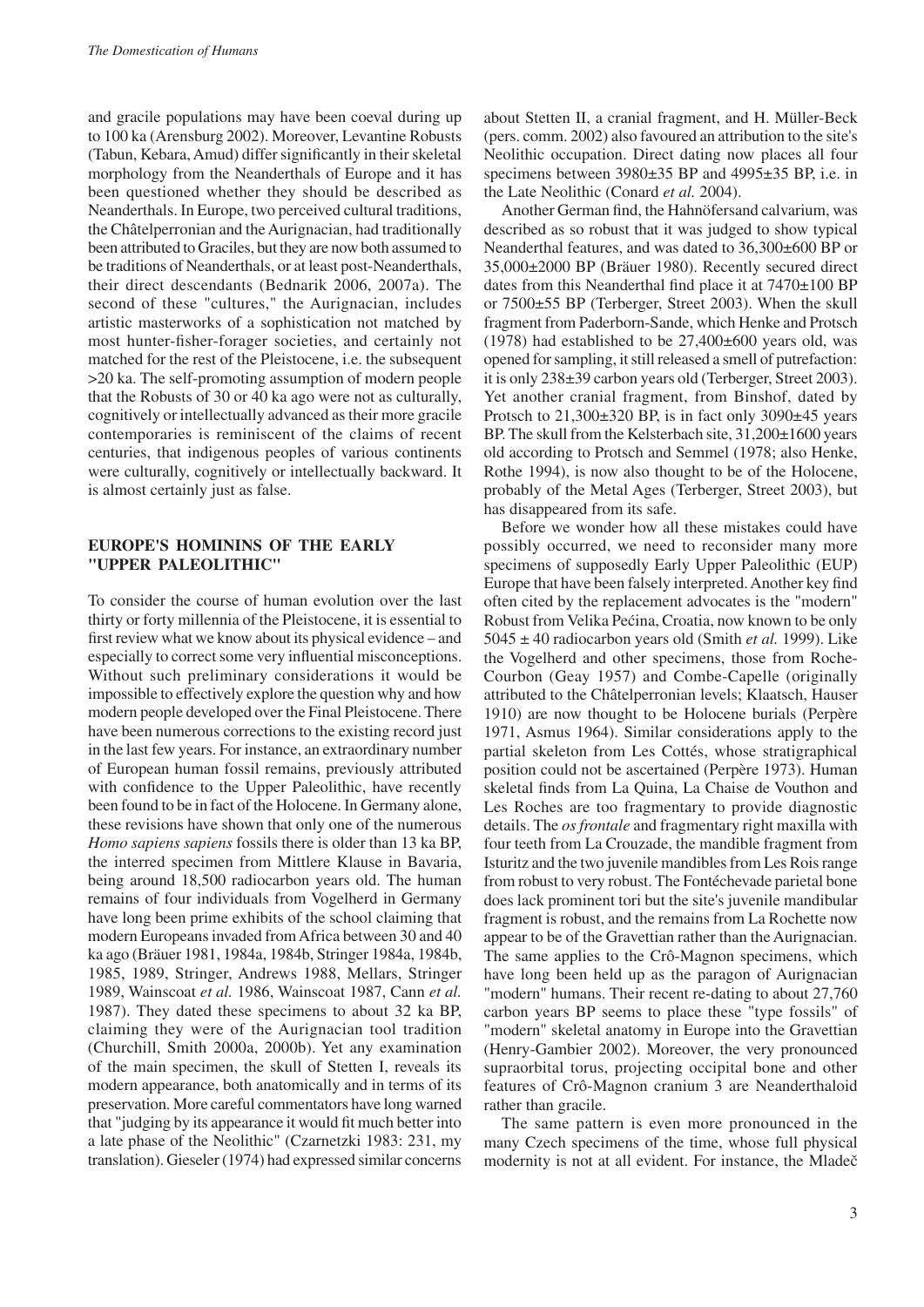and gracile populations may have been coeval during up to 100 ka (Arensburg 2002). Moreover, Levantine Robusts (Tabun, Kebara, Amud) differ significantly in their skeletal morphology from the Neanderthals of Europe and it has been questioned whether they should be described as Neanderthals. In Europe, two perceived cultural traditions, the Châtelperronian and the Aurignacian, had traditionally been attributed to Graciles, but they are now both assumed to be traditions of Neanderthals, or at least post-Neanderthals, their direct descendants (Bednarik 2006, 2007a). The second of these "cultures," the Aurignacian, includes artistic masterworks of a sophistication not matched by most hunter-fisher-forager societies, and certainly not matched for the rest of the Pleistocene, i.e. the subsequent >20 ka. The self-promoting assumption of modern people that the Robusts of 30 or 40 ka ago were not as culturally, cognitively or intellectually advanced as their more gracile contemporaries is reminiscent of the claims of recent centuries, that indigenous peoples of various continents were culturally, cognitively or intellectually backward. It is almost certainly just as false.

## **Europe's hominins of the early "Upper Paleolithic"**

To consider the course of human evolution over the last thirty or forty millennia of the Pleistocene, it is essential to first review what we know about its physical evidence – and especially to correct some very influential misconceptions. Without such preliminary considerations it would be impossible to effectively explore the question why and how modern people developed over the Final Pleistocene. There have been numerous corrections to the existing record just in the last few years. For instance, an extraordinary number of European human fossil remains, previously attributed with confidence to the Upper Paleolithic, have recently been found to be in fact of the Holocene. In Germany alone, these revisions have shown that only one of the numerous *Homo sapiens sapiens* fossils there is older than 13 ka BP, the interred specimen from Mittlere Klause in Bavaria, being around 18,500 radiocarbon years old. The human remains of four individuals from Vogelherd in Germany have long been prime exhibits of the school claiming that modern Europeans invaded from Africa between 30 and 40 ka ago (Bräuer 1981, 1984a, 1984b, Stringer 1984a, 1984b, 1985, 1989, Stringer, Andrews 1988, Mellars, Stringer 1989, Wainscoat *et al.* 1986, Wainscoat 1987, Cann *et al.* 1987). They dated these specimens to about 32 ka BP, claiming they were of the Aurignacian tool tradition (Churchill, Smith 2000a, 2000b). Yet any examination of the main specimen, the skull of Stetten I, reveals its modern appearance, both anatomically and in terms of its preservation. More careful commentators have long warned that "judging by its appearance it would fit much better into a late phase of the Neolithic" (Czarnetzki 1983: 231, my translation). Gieseler (1974) had expressed similar concerns about Stetten II, a cranial fragment, and H. Müller-Beck (pers. comm. 2002) also favoured an attribution to the site's Neolithic occupation. Direct dating now places all four specimens between 3980 $\pm$ 35 BP and 4995 $\pm$ 35 BP, i.e. in the Late Neolithic (Conard *et al.* 2004).

Another German find, the Hahnöfersand calvarium, was described as so robust that it was judged to show typical Neanderthal features, and was dated to 36,300±600 BP or 35,000±2000 BP (Bräuer 1980). Recently secured direct dates from this Neanderthal find place it at 7470±100 BP or 7500±55 BP (Terberger, Street 2003). When the skull fragment from Paderborn-Sande, which Henke and Protsch  $(1978)$  had established to be  $27,400\pm600$  years old, was opened for sampling, it still released a smell of putrefaction: it is only 238±39 carbon years old (Terberger, Street 2003). Yet another cranial fragment, from Binshof, dated by Protsch to  $21,300\pm320$  BP, is in fact only  $3090\pm45$  years BP. The skull from the Kelsterbach site, 31,200±1600 years old according to Protsch and Semmel (1978; also Henke, Rothe 1994), is now also thought to be of the Holocene, probably of the Metal Ages (Terberger, Street 2003), but has disappeared from its safe.

Before we wonder how all these mistakes could have possibly occurred, we need to reconsider many more specimens of supposedly Early Upper Paleolithic (EUP) Europe that have been falsely interpreted. Another key find often cited by the replacement advocates is the "modern" Robust from Velika Pećina, Croatia, now known to be only 5045 ± 40 radiocarbon years old (Smith *et al.* 1999). Like the Vogelherd and other specimens, those from Roche-Courbon (Geay 1957) and Combe-Capelle (originally attributed to the Châtelperronian levels; Klaatsch, Hauser 1910) are now thought to be Holocene burials (Perpère 1971, Asmus 1964). Similar considerations apply to the partial skeleton from Les Cottés, whose stratigraphical position could not be ascertained (Perpère 1973). Human skeletal finds from La Quina, La Chaise de Vouthon and Les Roches are too fragmentary to provide diagnostic details. The *os frontale* and fragmentary right maxilla with four teeth from La Crouzade, the mandible fragment from Isturitz and the two juvenile mandibles from Les Rois range from robust to very robust. The Fontéchevade parietal bone does lack prominent tori but the site's juvenile mandibular fragment is robust, and the remains from La Rochette now appear to be of the Gravettian rather than the Aurignacian. The same applies to the Crô-Magnon specimens, which have long been held up as the paragon of Aurignacian "modern" humans. Their recent re-dating to about 27,760 carbon years BP seems to place these "type fossils" of "modern" skeletal anatomy in Europe into the Gravettian (Henry-Gambier 2002). Moreover, the very pronounced supraorbital torus, projecting occipital bone and other features of Crô-Magnon cranium 3 are Neanderthaloid rather than gracile.

The same pattern is even more pronounced in the many Czech specimens of the time, whose full physical modernity is not at all evident. For instance, the Mladeč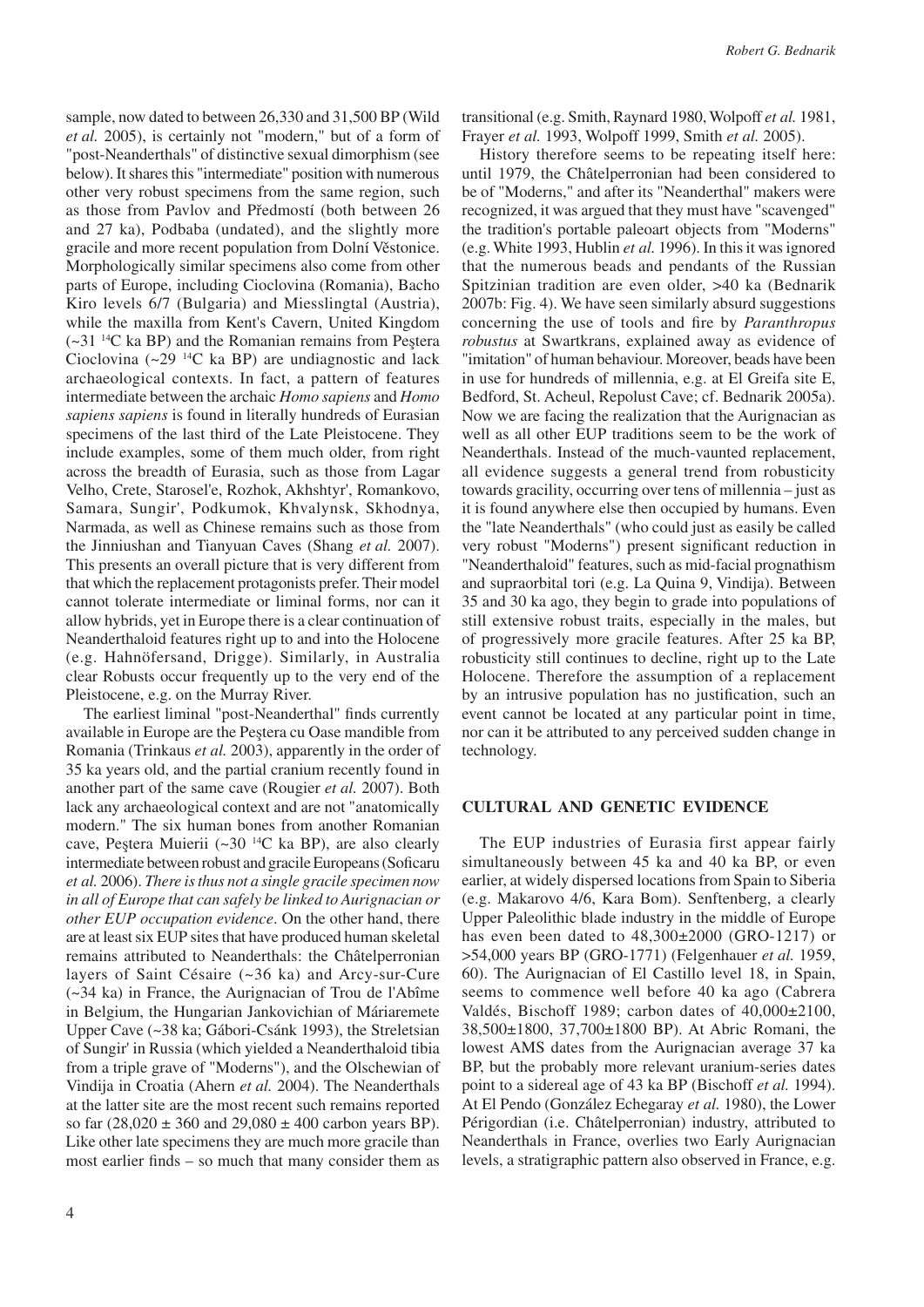sample, now dated to between 26,330 and 31,500 BP (Wild *et al.* 2005), is certainly not "modern," but of a form of "post-Neanderthals" of distinctive sexual dimorphism (see below). It shares this "intermediate" position with numerous other very robust specimens from the same region, such as those from Pavlov and Předmostí (both between 26 and 27 ka), Podbaba (undated), and the slightly more gracile and more recent population from Dolní Věstonice. Morphologically similar specimens also come from other parts of Europe, including Cioclovina (Romania), Bacho Kiro levels 6/7 (Bulgaria) and Miesslingtal (Austria), while the maxilla from Kent's Cavern, United Kingdom  $(-31<sup>14</sup>C$  ka BP) and the Romanian remains from Peştera Cioclovina  $(\sim 29$  <sup>14</sup>C ka BP) are undiagnostic and lack archaeological contexts. In fact, a pattern of features intermediate between the archaic *Homo sapiens* and *Homo sapiens sapiens* is found in literally hundreds of Eurasian specimens of the last third of the Late Pleistocene. They include examples, some of them much older, from right across the breadth of Eurasia, such as those from Lagar Velho, Crete, Starosel'e, Rozhok, Akhshtyr', Romankovo, Samara, Sungir', Podkumok, Khvalynsk, Skhodnya, Narmada, as well as Chinese remains such as those from the Jinniushan and Tianyuan Caves (Shang *et al.* 2007). This presents an overall picture that is very different from that which the replacement protagonists prefer. Their model cannot tolerate intermediate or liminal forms, nor can it allow hybrids, yet in Europe there is a clear continuation of Neanderthaloid features right up to and into the Holocene (e.g. Hahnöfersand, Drigge). Similarly, in Australia clear Robusts occur frequently up to the very end of the Pleistocene, e.g. on the Murray River.

The earliest liminal "post-Neanderthal" finds currently available in Europe are the Peştera cu Oase mandible from Romania (Trinkaus *et al.* 2003), apparently in the order of 35 ka years old, and the partial cranium recently found in another part of the same cave (Rougier *et al.* 2007). Both lack any archaeological context and are not "anatomically modern." The six human bones from another Romanian cave, Peştera Muierii (~30 14C ka BP), are also clearly intermediate between robust and gracile Europeans (Soficaru *et al.* 2006). *There is thus not a single gracile specimen now in all of Europe that can safely be linked to Aurignacian or other EUP occupation evidence*. On the other hand, there are at least six EUP sites that have produced human skeletal remains attributed to Neanderthals: the Châtelperronian layers of Saint Césaire (~36 ka) and Arcy-sur-Cure (~34 ka) in France, the Aurignacian of Trou de l'Abîme in Belgium, the Hungarian Jankovichian of Máriaremete Upper Cave (~38 ka; Gábori-Csánk 1993), the Streletsian of Sungir' in Russia (which yielded a Neanderthaloid tibia from a triple grave of "Moderns"), and the Olschewian of Vindija in Croatia (Ahern *et al.* 2004). The Neanderthals at the latter site are the most recent such remains reported so far  $(28,020 \pm 360 \text{ and } 29,080 \pm 400 \text{ carbon years BP}).$ Like other late specimens they are much more gracile than most earlier finds – so much that many consider them as

transitional (e.g. Smith, Raynard 1980, Wolpoff *et al.* 1981, Frayer *et al.* 1993, Wolpoff 1999, Smith *et al.* 2005).

History therefore seems to be repeating itself here: until 1979, the Châtelperronian had been considered to be of "Moderns," and after its "Neanderthal" makers were recognized, it was argued that they must have "scavenged" the tradition's portable paleoart objects from "Moderns" (e.g. White 1993, Hublin *et al.* 1996). In this it was ignored that the numerous beads and pendants of the Russian Spitzinian tradition are even older, >40 ka (Bednarik 2007b: Fig. 4). We have seen similarly absurd suggestions concerning the use of tools and fire by *Paranthropus robustus* at Swartkrans, explained away as evidence of "imitation" of human behaviour. Moreover, beads have been in use for hundreds of millennia, e.g. at El Greifa site E, Bedford, St. Acheul, Repolust Cave; cf. Bednarik 2005a). Now we are facing the realization that the Aurignacian as well as all other EUP traditions seem to be the work of Neanderthals. Instead of the much-vaunted replacement, all evidence suggests a general trend from robusticity towards gracility, occurring over tens of millennia – just as it is found anywhere else then occupied by humans. Even the "late Neanderthals" (who could just as easily be called very robust "Moderns") present significant reduction in "Neanderthaloid" features, such as mid-facial prognathism and supraorbital tori (e.g. La Quina 9, Vindija). Between 35 and 30 ka ago, they begin to grade into populations of still extensive robust traits, especially in the males, but of progressively more gracile features. After 25 ka BP, robusticity still continues to decline, right up to the Late Holocene. Therefore the assumption of a replacement by an intrusive population has no justification, such an event cannot be located at any particular point in time, nor can it be attributed to any perceived sudden change in technology.

#### **Cultural and genetic evidence**

The EUP industries of Eurasia first appear fairly simultaneously between 45 ka and 40 ka BP, or even earlier, at widely dispersed locations from Spain to Siberia (e.g. Makarovo 4/6, Kara Bom). Senftenberg, a clearly Upper Paleolithic blade industry in the middle of Europe has even been dated to 48,300±2000 (GRO-1217) or >54,000 years BP (GRO-1771) (Felgenhauer *et al.* 1959, 60). The Aurignacian of El Castillo level 18, in Spain, seems to commence well before 40 ka ago (Cabrera Valdés, Bischoff 1989; carbon dates of 40,000±2100, 38,500±1800, 37,700±1800 BP). At Abric Romani, the lowest AMS dates from the Aurignacian average 37 ka BP, but the probably more relevant uranium-series dates point to a sidereal age of 43 ka BP (Bischoff *et al.* 1994). At El Pendo (González Echegaray *et al.* 1980), the Lower Périgordian (i.e. Châtelperronian) industry, attributed to Neanderthals in France, overlies two Early Aurignacian levels, a stratigraphic pattern also observed in France, e.g.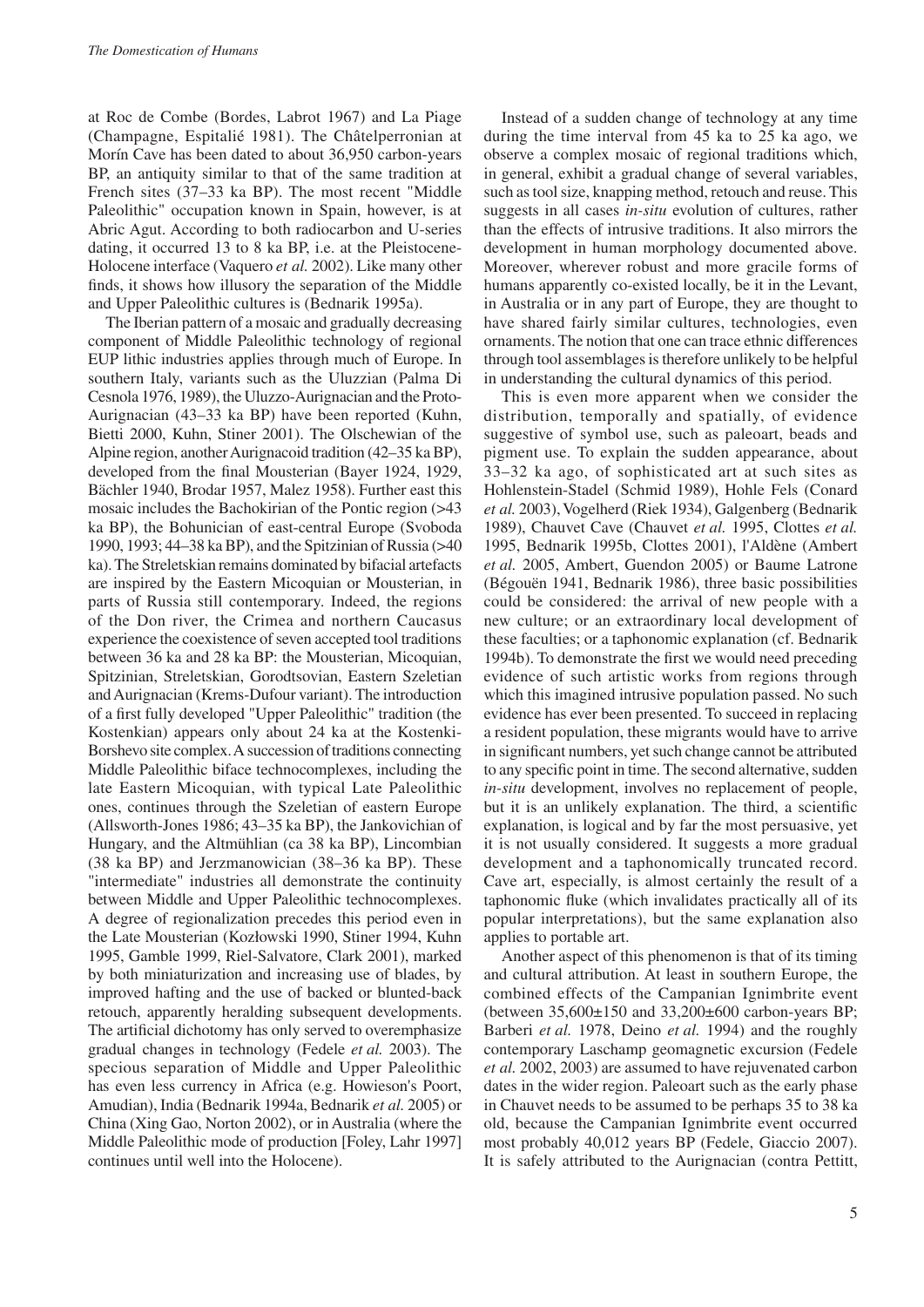at Roc de Combe (Bordes, Labrot 1967) and La Piage (Champagne, Espitalié 1981). The Châtelperronian at Morín Cave has been dated to about 36,950 carbon-years BP, an antiquity similar to that of the same tradition at French sites (37–33 ka BP). The most recent "Middle Paleolithic" occupation known in Spain, however, is at Abric Agut. According to both radiocarbon and U-series dating, it occurred 13 to 8 ka BP, i.e. at the Pleistocene-Holocene interface (Vaquero *et al.* 2002). Like many other finds, it shows how illusory the separation of the Middle and Upper Paleolithic cultures is (Bednarik 1995a).

The Iberian pattern of a mosaic and gradually decreasing component of Middle Paleolithic technology of regional EUP lithic industries applies through much of Europe. In southern Italy, variants such as the Uluzzian (Palma Di Cesnola 1976, 1989), the Uluzzo-Aurignacian and the Proto-Aurignacian (43–33 ka BP) have been reported (Kuhn, Bietti 2000, Kuhn, Stiner 2001). The Olschewian of the Alpine region, another Aurignacoid tradition (42–35 ka BP), developed from the final Mousterian (Bayer 1924, 1929, Bächler 1940, Brodar 1957, Malez 1958). Further east this mosaic includes the Bachokirian of the Pontic region (>43 ka BP), the Bohunician of east-central Europe (Svoboda 1990, 1993; 44–38 ka BP), and the Spitzinian of Russia (>40 ka). The Streletskian remains dominated by bifacial artefacts are inspired by the Eastern Micoquian or Mousterian, in parts of Russia still contemporary. Indeed, the regions of the Don river, the Crimea and northern Caucasus experience the coexistence of seven accepted tool traditions between 36 ka and 28 ka BP: the Mousterian, Micoquian, Spitzinian, Streletskian, Gorodtsovian, Eastern Szeletian and Aurignacian (Krems-Dufour variant). The introduction of a first fully developed "Upper Paleolithic" tradition (the Kostenkian) appears only about 24 ka at the Kostenki-Borshevo site complex. A succession of traditions connecting Middle Paleolithic biface technocomplexes, including the late Eastern Micoquian, with typical Late Paleolithic ones, continues through the Szeletian of eastern Europe (Allsworth-Jones 1986; 43–35 ka BP), the Jankovichian of Hungary, and the Altmühlian (ca 38 ka BP), Lincombian (38 ka BP) and Jerzmanowician (38–36 ka BP). These "intermediate" industries all demonstrate the continuity between Middle and Upper Paleolithic technocomplexes. A degree of regionalization precedes this period even in the Late Mousterian (Kozłowski 1990, Stiner 1994, Kuhn 1995, Gamble 1999, Riel-Salvatore, Clark 2001), marked by both miniaturization and increasing use of blades, by improved hafting and the use of backed or blunted-back retouch, apparently heralding subsequent developments. The artificial dichotomy has only served to overemphasize gradual changes in technology (Fedele *et al.* 2003). The specious separation of Middle and Upper Paleolithic has even less currency in Africa (e.g. Howieson's Poort, Amudian), India (Bednarik 1994a, Bednarik *et al.* 2005) or China (Xing Gao, Norton 2002), or in Australia (where the Middle Paleolithic mode of production [Foley, Lahr 1997] continues until well into the Holocene).

Instead of a sudden change of technology at any time during the time interval from 45 ka to 25 ka ago, we observe a complex mosaic of regional traditions which, in general, exhibit a gradual change of several variables, such as tool size, knapping method, retouch and reuse. This suggests in all cases *in-situ* evolution of cultures, rather than the effects of intrusive traditions. It also mirrors the development in human morphology documented above. Moreover, wherever robust and more gracile forms of humans apparently co-existed locally, be it in the Levant, in Australia or in any part of Europe, they are thought to have shared fairly similar cultures, technologies, even ornaments. The notion that one can trace ethnic differences through tool assemblages is therefore unlikely to be helpful in understanding the cultural dynamics of this period.

This is even more apparent when we consider the distribution, temporally and spatially, of evidence suggestive of symbol use, such as paleoart, beads and pigment use. To explain the sudden appearance, about 33–32 ka ago, of sophisticated art at such sites as Hohlenstein-Stadel (Schmid 1989), Hohle Fels (Conard *et al.* 2003), Vogelherd (Riek 1934), Galgenberg (Bednarik 1989), Chauvet Cave (Chauvet *et al.* 1995, Clottes *et al.* 1995, Bednarik 1995b, Clottes 2001), l'Aldène (Ambert *et al.* 2005, Ambert, Guendon 2005) or Baume Latrone (Bégouën 1941, Bednarik 1986), three basic possibilities could be considered: the arrival of new people with a new culture; or an extraordinary local development of these faculties; or a taphonomic explanation (cf. Bednarik 1994b). To demonstrate the first we would need preceding evidence of such artistic works from regions through which this imagined intrusive population passed. No such evidence has ever been presented. To succeed in replacing a resident population, these migrants would have to arrive in significant numbers, yet such change cannot be attributed to any specific point in time. The second alternative, sudden *in-situ* development, involves no replacement of people, but it is an unlikely explanation. The third, a scientific explanation, is logical and by far the most persuasive, yet it is not usually considered. It suggests a more gradual development and a taphonomically truncated record. Cave art, especially, is almost certainly the result of a taphonomic fluke (which invalidates practically all of its popular interpretations), but the same explanation also applies to portable art.

Another aspect of this phenomenon is that of its timing and cultural attribution. At least in southern Europe, the combined effects of the Campanian Ignimbrite event (between 35,600±150 and 33,200±600 carbon-years BP; Barberi *et al.* 1978, Deino *et al.* 1994) and the roughly contemporary Laschamp geomagnetic excursion (Fedele *et al.* 2002, 2003) are assumed to have rejuvenated carbon dates in the wider region. Paleoart such as the early phase in Chauvet needs to be assumed to be perhaps 35 to 38 ka old, because the Campanian Ignimbrite event occurred most probably 40,012 years BP (Fedele, Giaccio 2007). It is safely attributed to the Aurignacian (contra Pettitt,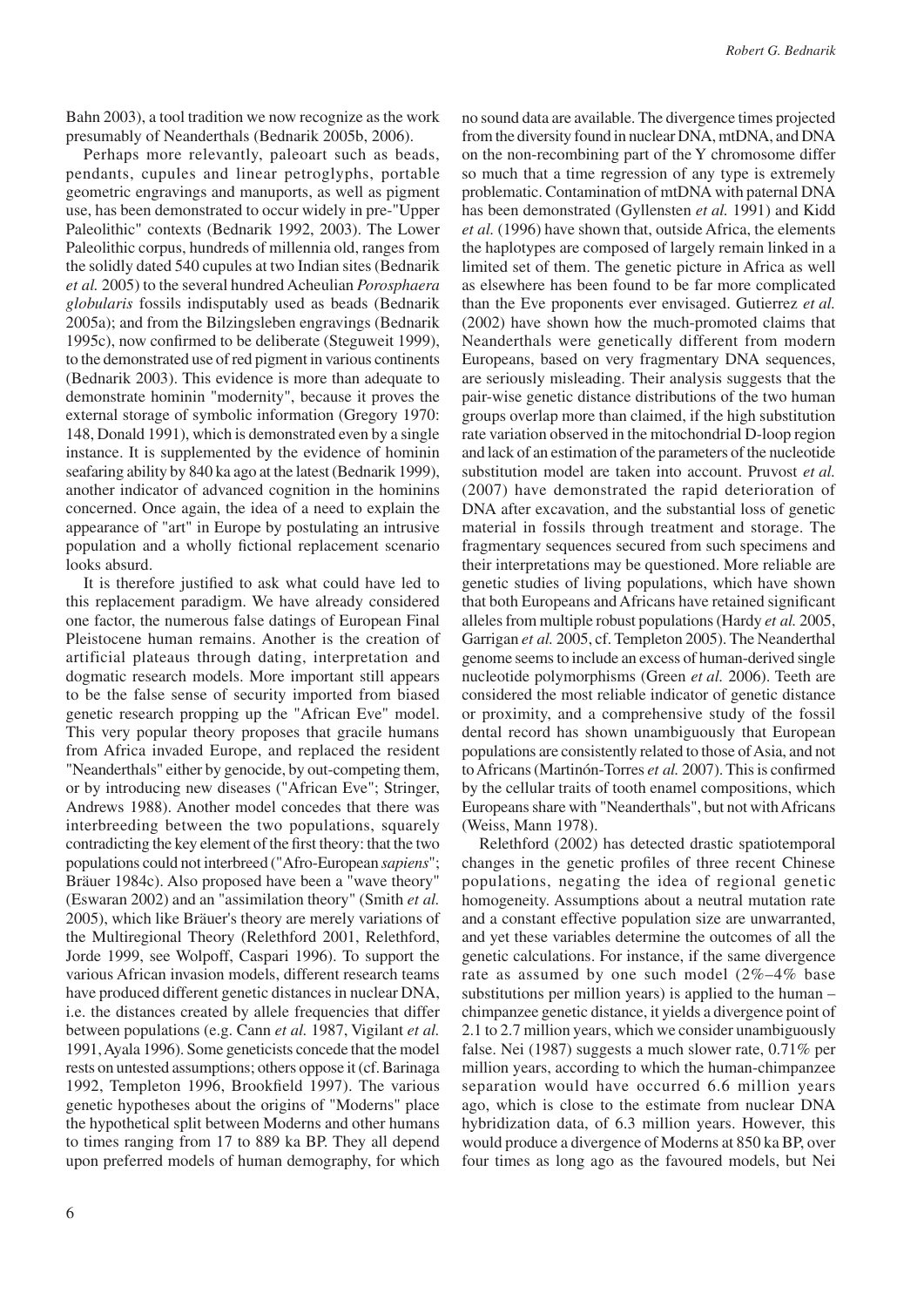Bahn 2003), a tool tradition we now recognize as the work presumably of Neanderthals (Bednarik 2005b, 2006).

Perhaps more relevantly, paleoart such as beads, pendants, cupules and linear petroglyphs, portable geometric engravings and manuports, as well as pigment use, has been demonstrated to occur widely in pre-"Upper Paleolithic" contexts (Bednarik 1992, 2003). The Lower Paleolithic corpus, hundreds of millennia old, ranges from the solidly dated 540 cupules at two Indian sites (Bednarik *et al.* 2005) to the several hundred Acheulian *Porosphaera globularis* fossils indisputably used as beads (Bednarik 2005a); and from the Bilzingsleben engravings (Bednarik 1995c), now confirmed to be deliberate (Steguweit 1999), to the demonstrated use of red pigment in various continents (Bednarik 2003). This evidence is more than adequate to demonstrate hominin "modernity", because it proves the external storage of symbolic information (Gregory 1970: 148, Donald 1991), which is demonstrated even by a single instance. It is supplemented by the evidence of hominin seafaring ability by 840 ka ago at the latest (Bednarik 1999), another indicator of advanced cognition in the hominins concerned. Once again, the idea of a need to explain the appearance of "art" in Europe by postulating an intrusive population and a wholly fictional replacement scenario looks absurd.

It is therefore justified to ask what could have led to this replacement paradigm. We have already considered one factor, the numerous false datings of European Final Pleistocene human remains. Another is the creation of artificial plateaus through dating, interpretation and dogmatic research models. More important still appears to be the false sense of security imported from biased genetic research propping up the "African Eve" model. This very popular theory proposes that gracile humans from Africa invaded Europe, and replaced the resident "Neanderthals" either by genocide, by out-competing them, or by introducing new diseases ("African Eve"; Stringer, Andrews 1988). Another model concedes that there was interbreeding between the two populations, squarely contradicting the key element of the first theory: that the two populations could not interbreed ("Afro-European *sapiens*"; Bräuer 1984c). Also proposed have been a "wave theory" (Eswaran 2002) and an "assimilation theory" (Smith *et al.* 2005), which like Bräuer's theory are merely variations of the Multiregional Theory (Relethford 2001, Relethford, Jorde 1999, see Wolpoff, Caspari 1996). To support the various African invasion models, different research teams have produced different genetic distances in nuclear DNA, i.e. the distances created by allele frequencies that differ between populations (e.g. Cann *et al.* 1987, Vigilant *et al.* 1991, Ayala 1996). Some geneticists concede that the model rests on untested assumptions; others oppose it (cf. Barinaga 1992, Templeton 1996, Brookfield 1997). The various genetic hypotheses about the origins of "Moderns" place the hypothetical split between Moderns and other humans to times ranging from 17 to 889 ka BP. They all depend upon preferred models of human demography, for which

no sound data are available. The divergence times projected from the diversity found in nuclear DNA, mtDNA, and DNA on the non-recombining part of the Y chromosome differ so much that a time regression of any type is extremely problematic. Contamination of mtDNA with paternal DNA has been demonstrated (Gyllensten *et al.* 1991) and Kidd *et al.* (1996) have shown that, outside Africa, the elements the haplotypes are composed of largely remain linked in a limited set of them. The genetic picture in Africa as well as elsewhere has been found to be far more complicated than the Eve proponents ever envisaged. Gutierrez *et al.* (2002) have shown how the much-promoted claims that Neanderthals were genetically different from modern Europeans, based on very fragmentary DNA sequences, are seriously misleading. Their analysis suggests that the pair-wise genetic distance distributions of the two human groups overlap more than claimed, if the high substitution rate variation observed in the mitochondrial D-loop region and lack of an estimation of the parameters of the nucleotide substitution model are taken into account. Pruvost *et al.* (2007) have demonstrated the rapid deterioration of DNA after excavation, and the substantial loss of genetic material in fossils through treatment and storage. The fragmentary sequences secured from such specimens and their interpretations may be questioned. More reliable are genetic studies of living populations, which have shown that both Europeans and Africans have retained significant alleles from multiple robust populations (Hardy *et al.* 2005, Garrigan *et al.* 2005, cf. Templeton 2005). The Neanderthal genome seems to include an excess of human-derived single nucleotide polymorphisms (Green *et al.* 2006). Teeth are considered the most reliable indicator of genetic distance or proximity, and a comprehensive study of the fossil dental record has shown unambiguously that European populations are consistently related to those of Asia, and not to Africans (Martinón-Torres *et al.* 2007). This is confirmed by the cellular traits of tooth enamel compositions, which Europeans share with "Neanderthals", but not with Africans (Weiss, Mann 1978).

Relethford (2002) has detected drastic spatiotemporal changes in the genetic profiles of three recent Chinese populations, negating the idea of regional genetic homogeneity. Assumptions about a neutral mutation rate and a constant effective population size are unwarranted, and yet these variables determine the outcomes of all the genetic calculations. For instance, if the same divergence rate as assumed by one such model (2%–4% base substitutions per million years) is applied to the human – chimpanzee genetic distance, it yields a divergence point of 2.1 to 2.7 million years, which we consider unambiguously false. Nei (1987) suggests a much slower rate, 0.71% per million years, according to which the human-chimpanzee separation would have occurred 6.6 million years ago, which is close to the estimate from nuclear DNA hybridization data, of 6.3 million years. However, this would produce a divergence of Moderns at 850 ka BP, over four times as long ago as the favoured models, but Nei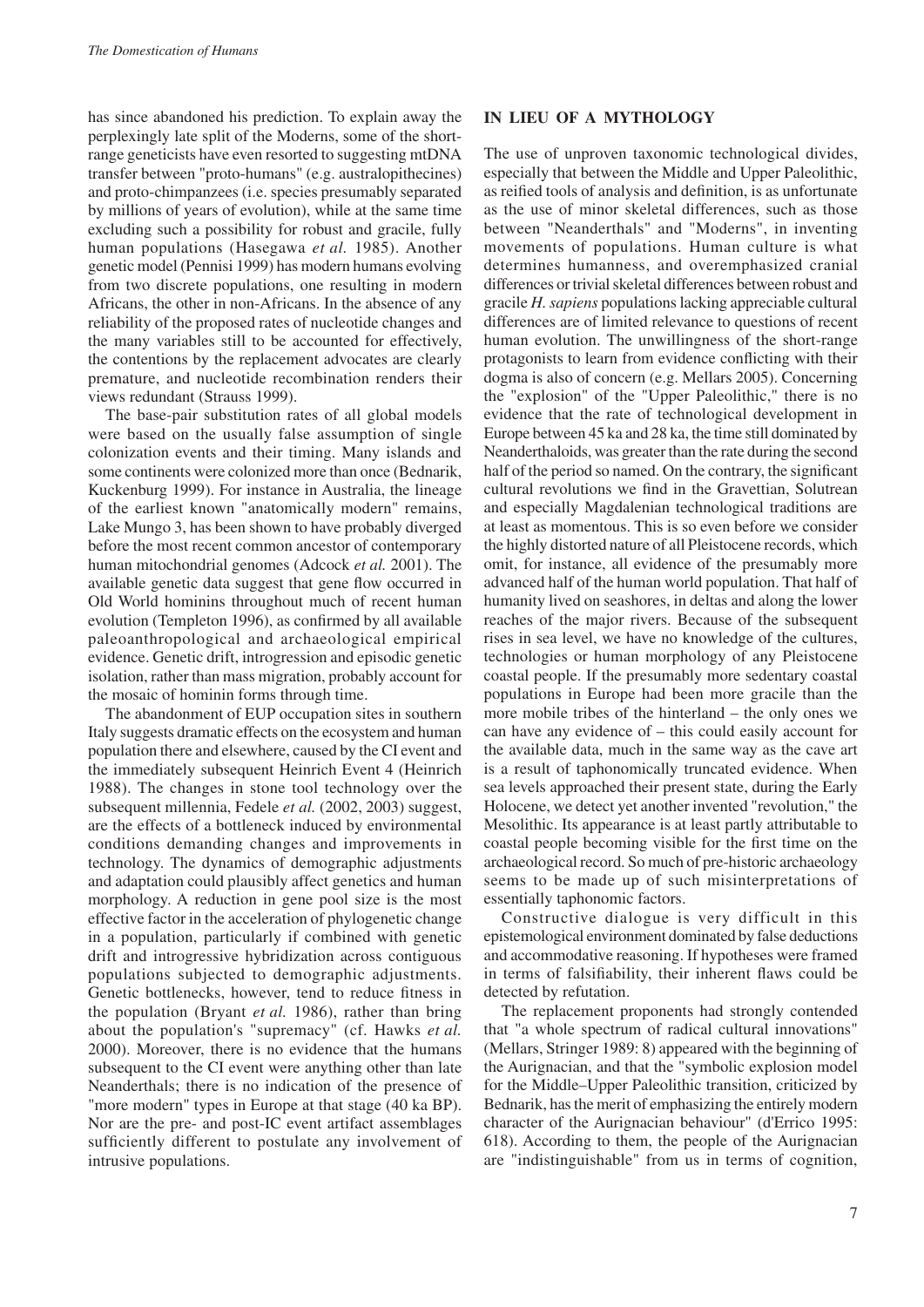has since abandoned his prediction. To explain away the perplexingly late split of the Moderns, some of the shortrange geneticists have even resorted to suggesting mtDNA transfer between "proto-humans" (e.g. australopithecines) and proto-chimpanzees (i.e. species presumably separated by millions of years of evolution), while at the same time excluding such a possibility for robust and gracile, fully human populations (Hasegawa *et al.* 1985). Another genetic model (Pennisi 1999) has modern humans evolving from two discrete populations, one resulting in modern Africans, the other in non-Africans. In the absence of any reliability of the proposed rates of nucleotide changes and the many variables still to be accounted for effectively, the contentions by the replacement advocates are clearly premature, and nucleotide recombination renders their views redundant (Strauss 1999).

The base-pair substitution rates of all global models were based on the usually false assumption of single colonization events and their timing. Many islands and some continents were colonized more than once (Bednarik, Kuckenburg 1999). For instance in Australia, the lineage of the earliest known "anatomically modern" remains, Lake Mungo 3, has been shown to have probably diverged before the most recent common ancestor of contemporary human mitochondrial genomes (Adcock *et al.* 2001). The available genetic data suggest that gene flow occurred in Old World hominins throughout much of recent human evolution (Templeton 1996), as confirmed by all available paleoanthropological and archaeological empirical evidence. Genetic drift, introgression and episodic genetic isolation, rather than mass migration, probably account for the mosaic of hominin forms through time.

The abandonment of EUP occupation sites in southern Italy suggests dramatic effects on the ecosystem and human population there and elsewhere, caused by the CI event and the immediately subsequent Heinrich Event 4 (Heinrich 1988). The changes in stone tool technology over the subsequent millennia, Fedele *et al.* (2002, 2003) suggest, are the effects of a bottleneck induced by environmental conditions demanding changes and improvements in technology. The dynamics of demographic adjustments and adaptation could plausibly affect genetics and human morphology. A reduction in gene pool size is the most effective factor in the acceleration of phylogenetic change in a population, particularly if combined with genetic drift and introgressive hybridization across contiguous populations subjected to demographic adjustments. Genetic bottlenecks, however, tend to reduce fitness in the population (Bryant *et al.* 1986), rather than bring about the population's "supremacy" (cf. Hawks *et al.* 2000). Moreover, there is no evidence that the humans subsequent to the CI event were anything other than late Neanderthals; there is no indication of the presence of "more modern" types in Europe at that stage (40 ka BP). Nor are the pre- and post-IC event artifact assemblages sufficiently different to postulate any involvement of intrusive populations.

## **In lieu of a mythology**

The use of unproven taxonomic technological divides, especially that between the Middle and Upper Paleolithic, as reified tools of analysis and definition, is as unfortunate as the use of minor skeletal differences, such as those between "Neanderthals" and "Moderns", in inventing movements of populations. Human culture is what determines humanness, and overemphasized cranial differences or trivial skeletal differences between robust and gracile *H. sapiens* populations lacking appreciable cultural differences are of limited relevance to questions of recent human evolution. The unwillingness of the short-range protagonists to learn from evidence conflicting with their dogma is also of concern (e.g. Mellars 2005). Concerning the "explosion" of the "Upper Paleolithic," there is no evidence that the rate of technological development in Europe between 45 ka and 28 ka, the time still dominated by Neanderthaloids, was greater than the rate during the second half of the period so named. On the contrary, the significant cultural revolutions we find in the Gravettian, Solutrean and especially Magdalenian technological traditions are at least as momentous. This is so even before we consider the highly distorted nature of all Pleistocene records, which omit, for instance, all evidence of the presumably more advanced half of the human world population. That half of humanity lived on seashores, in deltas and along the lower reaches of the major rivers. Because of the subsequent rises in sea level, we have no knowledge of the cultures, technologies or human morphology of any Pleistocene coastal people. If the presumably more sedentary coastal populations in Europe had been more gracile than the more mobile tribes of the hinterland – the only ones we can have any evidence of – this could easily account for the available data, much in the same way as the cave art is a result of taphonomically truncated evidence. When sea levels approached their present state, during the Early Holocene, we detect yet another invented "revolution," the Mesolithic. Its appearance is at least partly attributable to coastal people becoming visible for the first time on the archaeological record. So much of pre-historic archaeology seems to be made up of such misinterpretations of essentially taphonomic factors.

Constructive dialogue is very difficult in this epistemological environment dominated by false deductions and accommodative reasoning. If hypotheses were framed in terms of falsifiability, their inherent flaws could be detected by refutation.

The replacement proponents had strongly contended that "a whole spectrum of radical cultural innovations" (Mellars, Stringer 1989: 8) appeared with the beginning of the Aurignacian, and that the "symbolic explosion model for the Middle–Upper Paleolithic transition, criticized by Bednarik, has the merit of emphasizing the entirely modern character of the Aurignacian behaviour" (d'Errico 1995: 618). According to them, the people of the Aurignacian are "indistinguishable" from us in terms of cognition,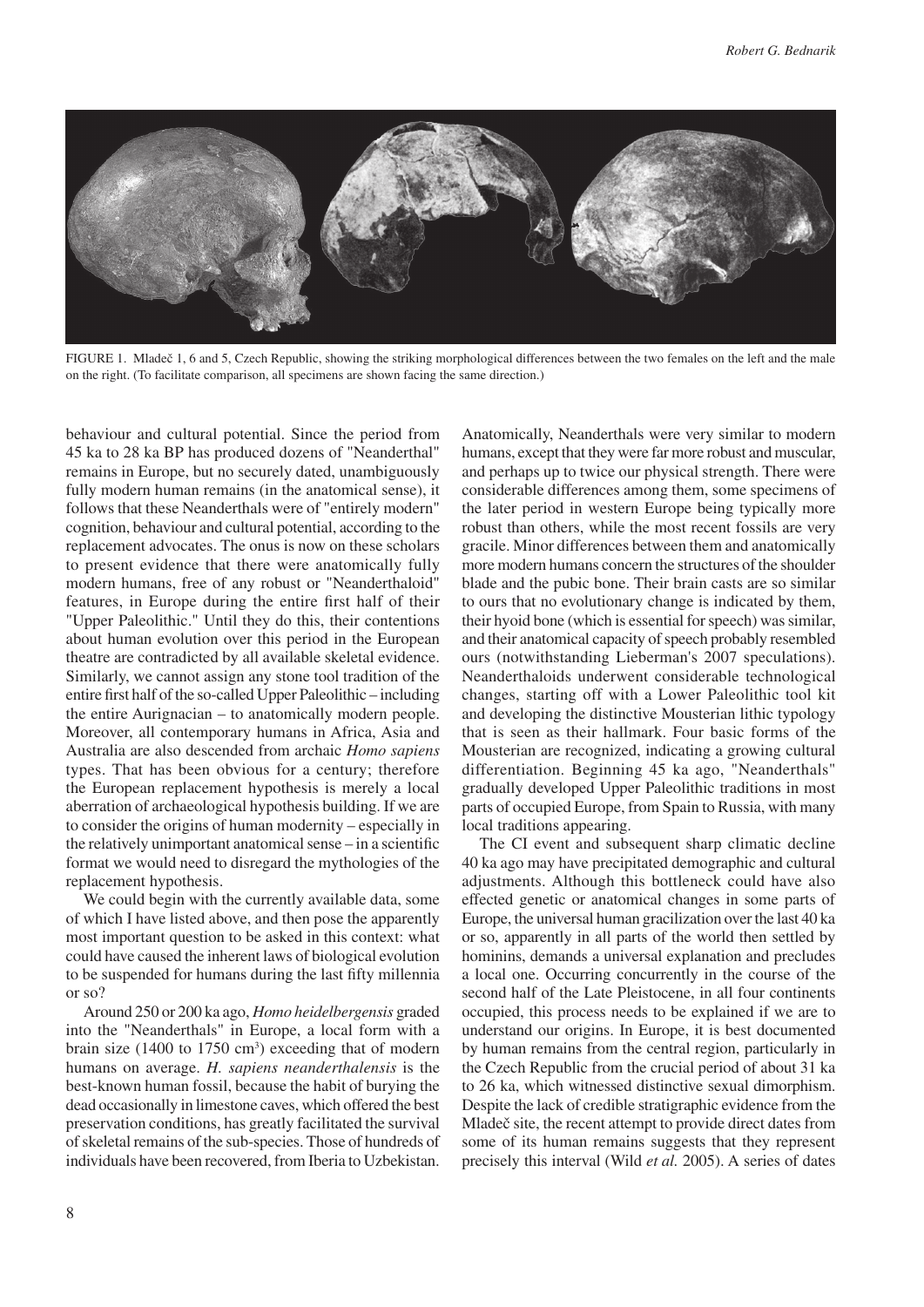

Figure 1. Mladeč 1, 6 and 5, Czech Republic, showing the striking morphological differences between the two females on the left and the male on the right. (To facilitate comparison, all specimens are shown facing the same direction.)

behaviour and cultural potential. Since the period from 45 ka to 28 ka BP has produced dozens of "Neanderthal" remains in Europe, but no securely dated, unambiguously fully modern human remains (in the anatomical sense), it follows that these Neanderthals were of "entirely modern" cognition, behaviour and cultural potential, according to the replacement advocates. The onus is now on these scholars to present evidence that there were anatomically fully modern humans, free of any robust or "Neanderthaloid" features, in Europe during the entire first half of their "Upper Paleolithic." Until they do this, their contentions about human evolution over this period in the European theatre are contradicted by all available skeletal evidence. Similarly, we cannot assign any stone tool tradition of the entire first half of the so-called Upper Paleolithic – including the entire Aurignacian – to anatomically modern people. Moreover, all contemporary humans in Africa, Asia and Australia are also descended from archaic *Homo sapiens* types. That has been obvious for a century; therefore the European replacement hypothesis is merely a local aberration of archaeological hypothesis building. If we are to consider the origins of human modernity – especially in the relatively unimportant anatomical sense – in a scientific format we would need to disregard the mythologies of the replacement hypothesis.

We could begin with the currently available data, some of which I have listed above, and then pose the apparently most important question to be asked in this context: what could have caused the inherent laws of biological evolution to be suspended for humans during the last fifty millennia or so?

Around 250 or 200 ka ago, *Homo heidelbergensis* graded into the "Neanderthals" in Europe, a local form with a brain size  $(1400 \text{ to } 1750 \text{ cm}^3)$  exceeding that of modern humans on average. *H. sapiens neanderthalensis* is the best-known human fossil, because the habit of burying the dead occasionally in limestone caves, which offered the best preservation conditions, has greatly facilitated the survival of skeletal remains of the sub-species. Those of hundreds of individuals have been recovered, from Iberia to Uzbekistan.

Anatomically, Neanderthals were very similar to modern humans, except that they were far more robust and muscular, and perhaps up to twice our physical strength. There were considerable differences among them, some specimens of the later period in western Europe being typically more robust than others, while the most recent fossils are very gracile. Minor differences between them and anatomically more modern humans concern the structures of the shoulder blade and the pubic bone. Their brain casts are so similar to ours that no evolutionary change is indicated by them, their hyoid bone (which is essential for speech) was similar, and their anatomical capacity of speech probably resembled ours (notwithstanding Lieberman's 2007 speculations). Neanderthaloids underwent considerable technological changes, starting off with a Lower Paleolithic tool kit and developing the distinctive Mousterian lithic typology that is seen as their hallmark. Four basic forms of the Mousterian are recognized, indicating a growing cultural differentiation. Beginning 45 ka ago, "Neanderthals" gradually developed Upper Paleolithic traditions in most parts of occupied Europe, from Spain to Russia, with many local traditions appearing.

The CI event and subsequent sharp climatic decline 40 ka ago may have precipitated demographic and cultural adjustments. Although this bottleneck could have also effected genetic or anatomical changes in some parts of Europe, the universal human gracilization over the last 40 ka or so, apparently in all parts of the world then settled by hominins, demands a universal explanation and precludes a local one. Occurring concurrently in the course of the second half of the Late Pleistocene, in all four continents occupied, this process needs to be explained if we are to understand our origins. In Europe, it is best documented by human remains from the central region, particularly in the Czech Republic from the crucial period of about 31 ka to 26 ka, which witnessed distinctive sexual dimorphism. Despite the lack of credible stratigraphic evidence from the Mladeč site, the recent attempt to provide direct dates from some of its human remains suggests that they represent precisely this interval (Wild *et al.* 2005). A series of dates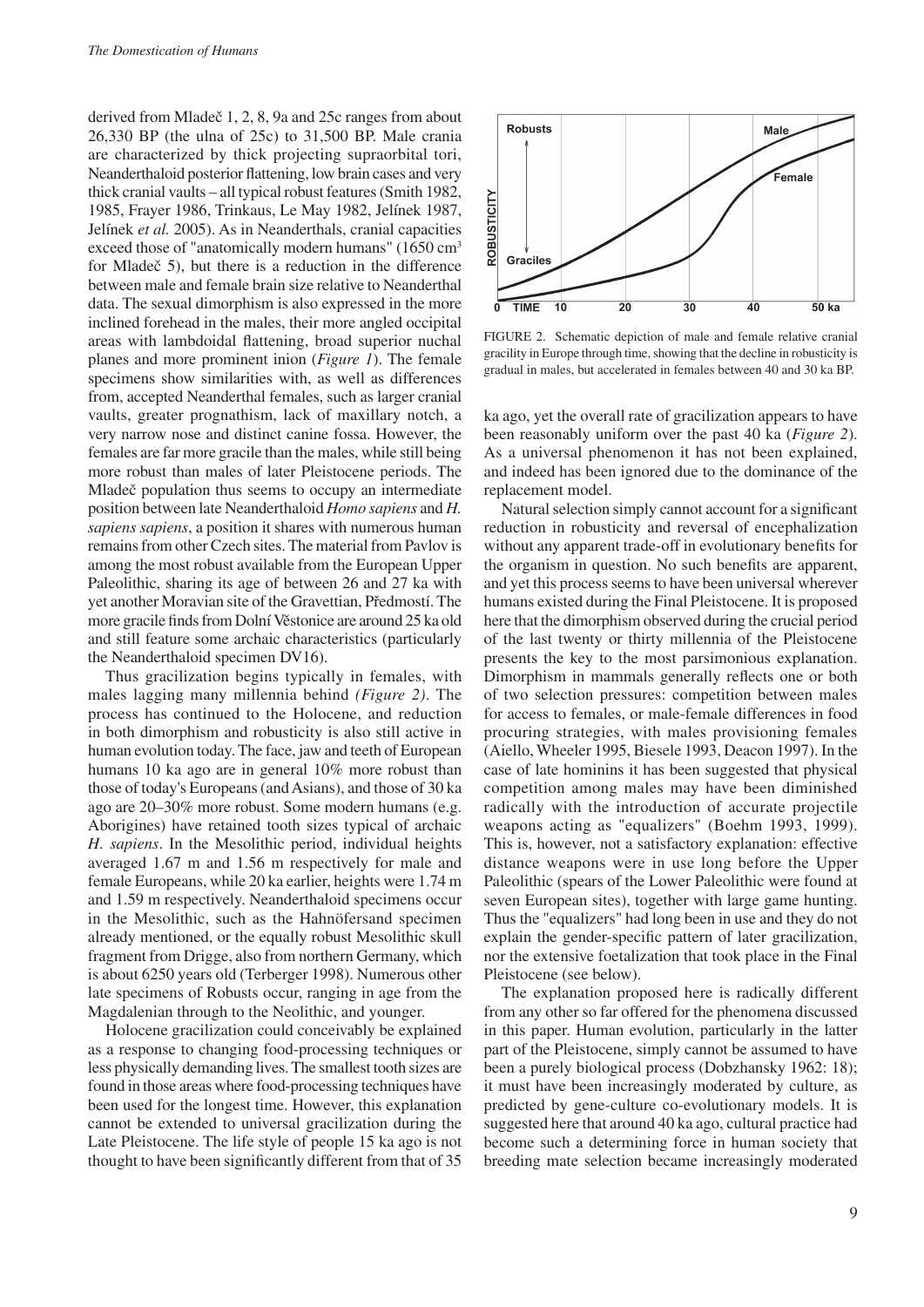derived from Mladeč 1, 2, 8, 9a and 25c ranges from about 26,330 BP (the ulna of 25c) to 31,500 BP. Male crania are characterized by thick projecting supraorbital tori, Neanderthaloid posterior flattening, low brain cases and very thick cranial vaults – all typical robust features (Smith 1982, 1985, Frayer 1986, Trinkaus, Le May 1982, Jelínek 1987, Jelínek *et al.* 2005). As in Neanderthals, cranial capacities exceed those of "anatomically modern humans" (1650 cm<sup>3</sup> for Mladeč 5), but there is a reduction in the difference between male and female brain size relative to Neanderthal data. The sexual dimorphism is also expressed in the more inclined forehead in the males, their more angled occipital areas with lambdoidal flattening, broad superior nuchal planes and more prominent inion (*Figure 1*). The female specimens show similarities with, as well as differences from, accepted Neanderthal females, such as larger cranial vaults, greater prognathism, lack of maxillary notch, a very narrow nose and distinct canine fossa. However, the females are far more gracile than the males, while still being more robust than males of later Pleistocene periods. The Mladeč population thus seems to occupy an intermediate position between late Neanderthaloid *Homo sapiens* and *H. sapiens sapiens*, a position it shares with numerous human remains from other Czech sites. The material from Pavlov is among the most robust available from the European Upper Paleolithic, sharing its age of between 26 and 27 ka with yet another Moravian site of the Gravettian, Předmostí. The more gracile finds from Dolní Věstonice are around 25 ka old and still feature some archaic characteristics (particularly the Neanderthaloid specimen DV16).

Thus gracilization begins typically in females, with males lagging many millennia behind *(Figure 2)*. The process has continued to the Holocene, and reduction in both dimorphism and robusticity is also still active in human evolution today. The face, jaw and teeth of European humans 10 ka ago are in general 10% more robust than those of today's Europeans (and Asians), and those of 30 ka ago are 20–30% more robust. Some modern humans (e.g. Aborigines) have retained tooth sizes typical of archaic *H. sapiens*. In the Mesolithic period, individual heights averaged 1.67 m and 1.56 m respectively for male and female Europeans, while 20 ka earlier, heights were 1.74 m and 1.59 m respectively. Neanderthaloid specimens occur in the Mesolithic, such as the Hahnöfersand specimen already mentioned, or the equally robust Mesolithic skull fragment from Drigge, also from northern Germany, which is about 6250 years old (Terberger 1998). Numerous other late specimens of Robusts occur, ranging in age from the Magdalenian through to the Neolithic, and younger.

Holocene gracilization could conceivably be explained as a response to changing food-processing techniques or less physically demanding lives. The smallest tooth sizes are found in those areas where food-processing techniques have been used for the longest time. However, this explanation cannot be extended to universal gracilization during the Late Pleistocene. The life style of people 15 ka ago is not thought to have been significantly different from that of 35



FIGURE 2. Schematic depiction of male and female relative cranial gracility in Europe through time, showing that the decline in robusticity is gradual in males, but accelerated in females between 40 and 30 ka BP.

ka ago, yet the overall rate of gracilization appears to have been reasonably uniform over the past 40 ka (*Figure 2*). As a universal phenomenon it has not been explained, and indeed has been ignored due to the dominance of the replacement model.

Natural selection simply cannot account for a significant reduction in robusticity and reversal of encephalization without any apparent trade-off in evolutionary benefits for the organism in question. No such benefits are apparent, and yet this process seems to have been universal wherever humans existed during the Final Pleistocene. It is proposed here that the dimorphism observed during the crucial period of the last twenty or thirty millennia of the Pleistocene presents the key to the most parsimonious explanation. Dimorphism in mammals generally reflects one or both of two selection pressures: competition between males for access to females, or male-female differences in food procuring strategies, with males provisioning females (Aiello, Wheeler 1995, Biesele 1993, Deacon 1997). In the case of late hominins it has been suggested that physical competition among males may have been diminished radically with the introduction of accurate projectile weapons acting as "equalizers" (Boehm 1993, 1999). This is, however, not a satisfactory explanation: effective distance weapons were in use long before the Upper Paleolithic (spears of the Lower Paleolithic were found at seven European sites), together with large game hunting. Thus the "equalizers" had long been in use and they do not explain the gender-specific pattern of later gracilization, nor the extensive foetalization that took place in the Final Pleistocene (see below).

The explanation proposed here is radically different from any other so far offered for the phenomena discussed in this paper. Human evolution, particularly in the latter part of the Pleistocene, simply cannot be assumed to have been a purely biological process (Dobzhansky 1962: 18); it must have been increasingly moderated by culture, as predicted by gene-culture co-evolutionary models. It is suggested here that around 40 ka ago, cultural practice had become such a determining force in human society that breeding mate selection became increasingly moderated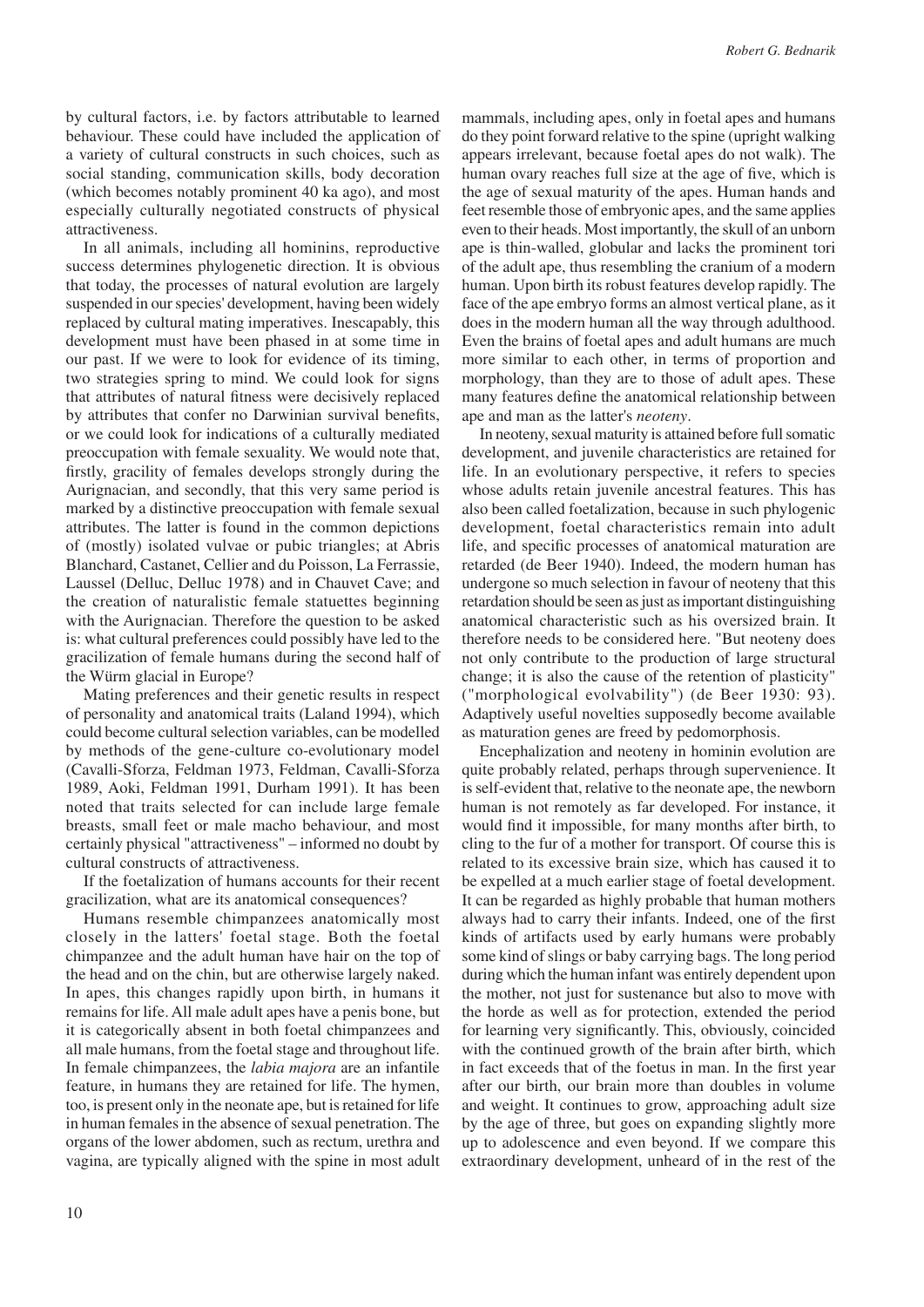by cultural factors, i.e. by factors attributable to learned behaviour. These could have included the application of a variety of cultural constructs in such choices, such as social standing, communication skills, body decoration (which becomes notably prominent 40 ka ago), and most especially culturally negotiated constructs of physical attractiveness.

In all animals, including all hominins, reproductive success determines phylogenetic direction. It is obvious that today, the processes of natural evolution are largely suspended in our species' development, having been widely replaced by cultural mating imperatives. Inescapably, this development must have been phased in at some time in our past. If we were to look for evidence of its timing, two strategies spring to mind. We could look for signs that attributes of natural fitness were decisively replaced by attributes that confer no Darwinian survival benefits, or we could look for indications of a culturally mediated preoccupation with female sexuality. We would note that, firstly, gracility of females develops strongly during the Aurignacian, and secondly, that this very same period is marked by a distinctive preoccupation with female sexual attributes. The latter is found in the common depictions of (mostly) isolated vulvae or pubic triangles; at Abris Blanchard, Castanet, Cellier and du Poisson, La Ferrassie, Laussel (Delluc, Delluc 1978) and in Chauvet Cave; and the creation of naturalistic female statuettes beginning with the Aurignacian. Therefore the question to be asked is: what cultural preferences could possibly have led to the gracilization of female humans during the second half of the Würm glacial in Europe?

Mating preferences and their genetic results in respect of personality and anatomical traits (Laland 1994), which could become cultural selection variables, can be modelled by methods of the gene-culture co-evolutionary model (Cavalli-Sforza, Feldman 1973, Feldman, Cavalli-Sforza 1989, Aoki, Feldman 1991, Durham 1991). It has been noted that traits selected for can include large female breasts, small feet or male macho behaviour, and most certainly physical "attractiveness" – informed no doubt by cultural constructs of attractiveness.

If the foetalization of humans accounts for their recent gracilization, what are its anatomical consequences?

Humans resemble chimpanzees anatomically most closely in the latters' foetal stage. Both the foetal chimpanzee and the adult human have hair on the top of the head and on the chin, but are otherwise largely naked. In apes, this changes rapidly upon birth, in humans it remains for life. All male adult apes have a penis bone, but it is categorically absent in both foetal chimpanzees and all male humans, from the foetal stage and throughout life. In female chimpanzees, the *labia majora* are an infantile feature, in humans they are retained for life. The hymen, too, is present only in the neonate ape, but is retained for life in human females in the absence of sexual penetration. The organs of the lower abdomen, such as rectum, urethra and vagina, are typically aligned with the spine in most adult mammals, including apes, only in foetal apes and humans do they point forward relative to the spine (upright walking appears irrelevant, because foetal apes do not walk). The human ovary reaches full size at the age of five, which is the age of sexual maturity of the apes. Human hands and feet resemble those of embryonic apes, and the same applies even to their heads. Most importantly, the skull of an unborn ape is thin-walled, globular and lacks the prominent tori of the adult ape, thus resembling the cranium of a modern human. Upon birth its robust features develop rapidly. The face of the ape embryo forms an almost vertical plane, as it does in the modern human all the way through adulthood. Even the brains of foetal apes and adult humans are much more similar to each other, in terms of proportion and morphology, than they are to those of adult apes. These many features define the anatomical relationship between ape and man as the latter's *neoteny*.

In neoteny, sexual maturity is attained before full somatic development, and juvenile characteristics are retained for life. In an evolutionary perspective, it refers to species whose adults retain juvenile ancestral features. This has also been called foetalization, because in such phylogenic development, foetal characteristics remain into adult life, and specific processes of anatomical maturation are retarded (de Beer 1940). Indeed, the modern human has undergone so much selection in favour of neoteny that this retardation should be seen as just as important distinguishing anatomical characteristic such as his oversized brain. It therefore needs to be considered here. "But neoteny does not only contribute to the production of large structural change; it is also the cause of the retention of plasticity" ("morphological evolvability") (de Beer 1930: 93). Adaptively useful novelties supposedly become available as maturation genes are freed by pedomorphosis.

Encephalization and neoteny in hominin evolution are quite probably related, perhaps through supervenience. It is self-evident that, relative to the neonate ape, the newborn human is not remotely as far developed. For instance, it would find it impossible, for many months after birth, to cling to the fur of a mother for transport. Of course this is related to its excessive brain size, which has caused it to be expelled at a much earlier stage of foetal development. It can be regarded as highly probable that human mothers always had to carry their infants. Indeed, one of the first kinds of artifacts used by early humans were probably some kind of slings or baby carrying bags. The long period during which the human infant was entirely dependent upon the mother, not just for sustenance but also to move with the horde as well as for protection, extended the period for learning very significantly. This, obviously, coincided with the continued growth of the brain after birth, which in fact exceeds that of the foetus in man. In the first year after our birth, our brain more than doubles in volume and weight. It continues to grow, approaching adult size by the age of three, but goes on expanding slightly more up to adolescence and even beyond. If we compare this extraordinary development, unheard of in the rest of the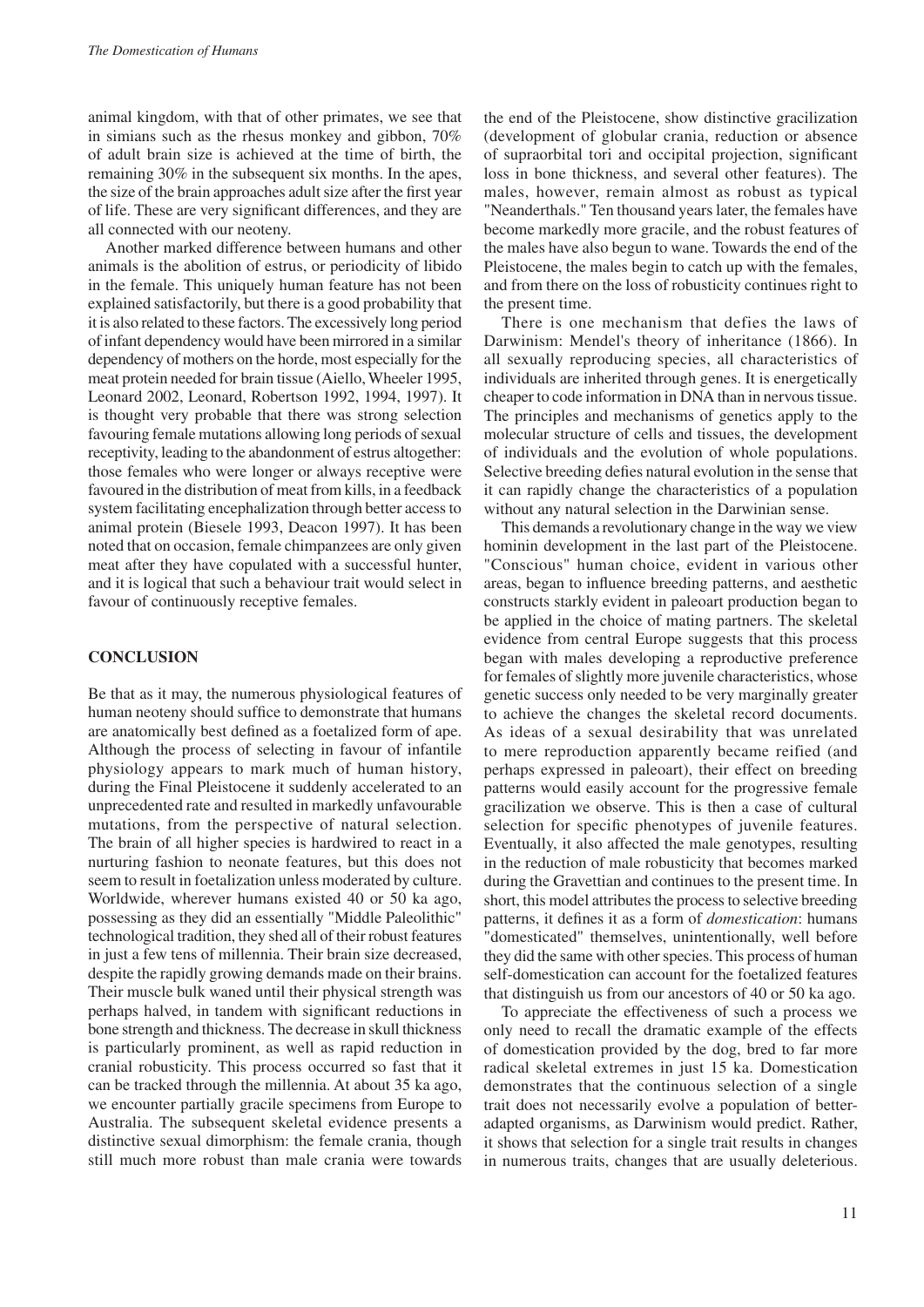animal kingdom, with that of other primates, we see that in simians such as the rhesus monkey and gibbon, 70% of adult brain size is achieved at the time of birth, the remaining 30% in the subsequent six months. In the apes, the size of the brain approaches adult size after the first year of life. These are very significant differences, and they are all connected with our neoteny.

Another marked difference between humans and other animals is the abolition of estrus, or periodicity of libido in the female. This uniquely human feature has not been explained satisfactorily, but there is a good probability that it is also related to these factors. The excessively long period of infant dependency would have been mirrored in a similar dependency of mothers on the horde, most especially for the meat protein needed for brain tissue (Aiello, Wheeler 1995, Leonard 2002, Leonard, Robertson 1992, 1994, 1997). It is thought very probable that there was strong selection favouring female mutations allowing long periods of sexual receptivity, leading to the abandonment of estrus altogether: those females who were longer or always receptive were favoured in the distribution of meat from kills, in a feedback system facilitating encephalization through better access to animal protein (Biesele 1993, Deacon 1997). It has been noted that on occasion, female chimpanzees are only given meat after they have copulated with a successful hunter, and it is logical that such a behaviour trait would select in favour of continuously receptive females.

### **Conclusion**

Be that as it may, the numerous physiological features of human neoteny should suffice to demonstrate that humans are anatomically best defined as a foetalized form of ape. Although the process of selecting in favour of infantile physiology appears to mark much of human history, during the Final Pleistocene it suddenly accelerated to an unprecedented rate and resulted in markedly unfavourable mutations, from the perspective of natural selection. The brain of all higher species is hardwired to react in a nurturing fashion to neonate features, but this does not seem to result in foetalization unless moderated by culture. Worldwide, wherever humans existed 40 or 50 ka ago, possessing as they did an essentially "Middle Paleolithic" technological tradition, they shed all of their robust features in just a few tens of millennia. Their brain size decreased, despite the rapidly growing demands made on their brains. Their muscle bulk waned until their physical strength was perhaps halved, in tandem with significant reductions in bone strength and thickness. The decrease in skull thickness is particularly prominent, as well as rapid reduction in cranial robusticity. This process occurred so fast that it can be tracked through the millennia. At about 35 ka ago, we encounter partially gracile specimens from Europe to Australia. The subsequent skeletal evidence presents a distinctive sexual dimorphism: the female crania, though still much more robust than male crania were towards the end of the Pleistocene, show distinctive gracilization (development of globular crania, reduction or absence of supraorbital tori and occipital projection, significant loss in bone thickness, and several other features). The males, however, remain almost as robust as typical "Neanderthals." Ten thousand years later, the females have become markedly more gracile, and the robust features of the males have also begun to wane. Towards the end of the Pleistocene, the males begin to catch up with the females, and from there on the loss of robusticity continues right to the present time.

There is one mechanism that defies the laws of Darwinism: Mendel's theory of inheritance (1866). In all sexually reproducing species, all characteristics of individuals are inherited through genes. It is energetically cheaper to code information in DNA than in nervous tissue. The principles and mechanisms of genetics apply to the molecular structure of cells and tissues, the development of individuals and the evolution of whole populations. Selective breeding defies natural evolution in the sense that it can rapidly change the characteristics of a population without any natural selection in the Darwinian sense.

This demands a revolutionary change in the way we view hominin development in the last part of the Pleistocene. "Conscious" human choice, evident in various other areas, began to influence breeding patterns, and aesthetic constructs starkly evident in paleoart production began to be applied in the choice of mating partners. The skeletal evidence from central Europe suggests that this process began with males developing a reproductive preference for females of slightly more juvenile characteristics, whose genetic success only needed to be very marginally greater to achieve the changes the skeletal record documents. As ideas of a sexual desirability that was unrelated to mere reproduction apparently became reified (and perhaps expressed in paleoart), their effect on breeding patterns would easily account for the progressive female gracilization we observe. This is then a case of cultural selection for specific phenotypes of juvenile features. Eventually, it also affected the male genotypes, resulting in the reduction of male robusticity that becomes marked during the Gravettian and continues to the present time. In short, this model attributes the process to selective breeding patterns, it defines it as a form of *domestication*: humans "domesticated" themselves, unintentionally, well before they did the same with other species. This process of human self-domestication can account for the foetalized features that distinguish us from our ancestors of 40 or 50 ka ago.

To appreciate the effectiveness of such a process we only need to recall the dramatic example of the effects of domestication provided by the dog, bred to far more radical skeletal extremes in just 15 ka. Domestication demonstrates that the continuous selection of a single trait does not necessarily evolve a population of betteradapted organisms, as Darwinism would predict. Rather, it shows that selection for a single trait results in changes in numerous traits, changes that are usually deleterious.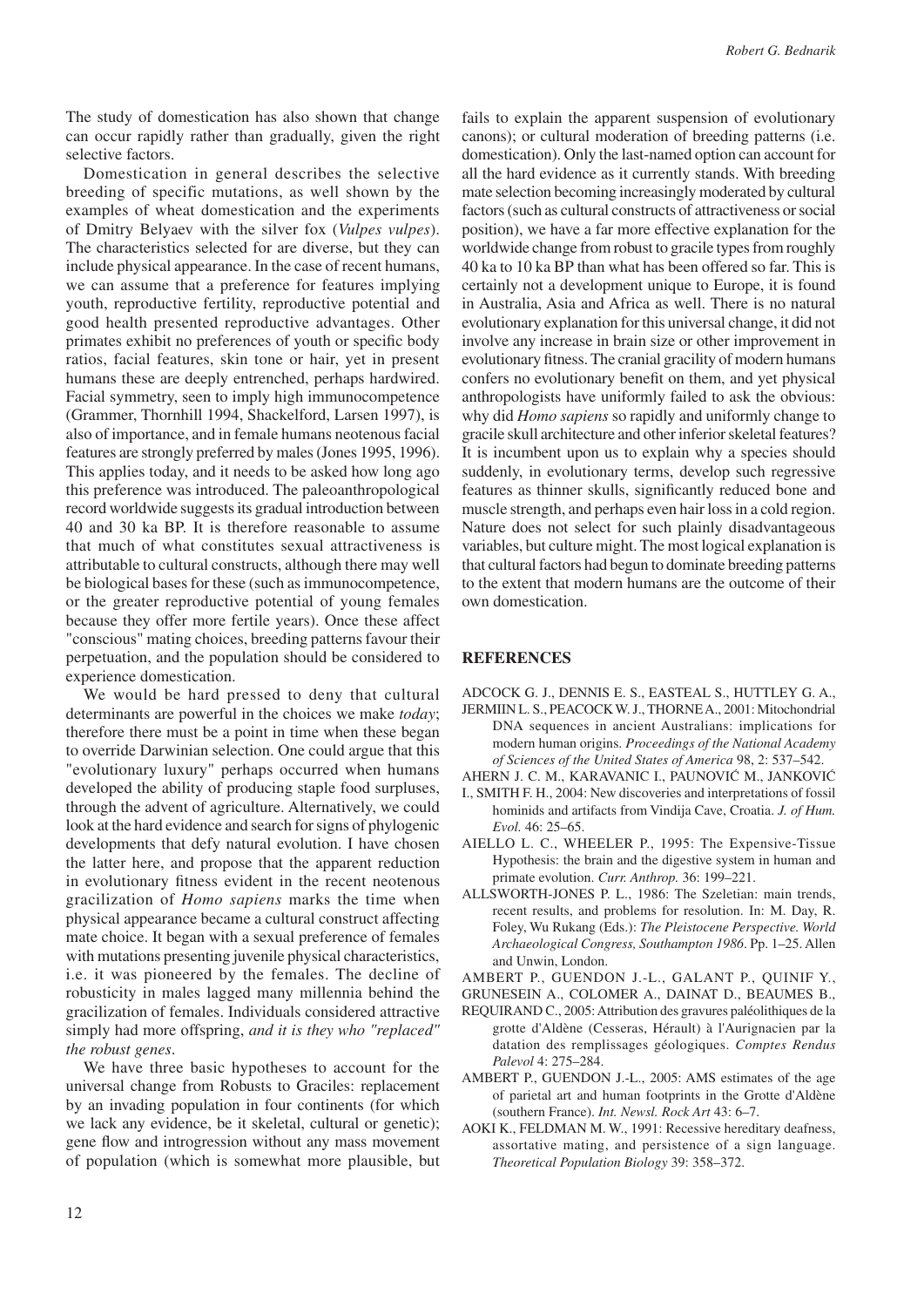The study of domestication has also shown that change can occur rapidly rather than gradually, given the right selective factors.

Domestication in general describes the selective breeding of specific mutations, as well shown by the examples of wheat domestication and the experiments of Dmitry Belyaev with the silver fox (*Vulpes vulpes*). The characteristics selected for are diverse, but they can include physical appearance. In the case of recent humans, we can assume that a preference for features implying youth, reproductive fertility, reproductive potential and good health presented reproductive advantages. Other primates exhibit no preferences of youth or specific body ratios, facial features, skin tone or hair, yet in present humans these are deeply entrenched, perhaps hardwired. Facial symmetry, seen to imply high immunocompetence (Grammer, Thornhill 1994, Shackelford, Larsen 1997), is also of importance, and in female humans neotenous facial features are strongly preferred by males (Jones 1995, 1996). This applies today, and it needs to be asked how long ago this preference was introduced. The paleoanthropological record worldwide suggests its gradual introduction between 40 and 30 ka BP. It is therefore reasonable to assume that much of what constitutes sexual attractiveness is attributable to cultural constructs, although there may well be biological bases for these (such as immunocompetence, or the greater reproductive potential of young females because they offer more fertile years). Once these affect "conscious" mating choices, breeding patterns favour their perpetuation, and the population should be considered to experience domestication.

We would be hard pressed to deny that cultural determinants are powerful in the choices we make *today*; therefore there must be a point in time when these began to override Darwinian selection. One could argue that this "evolutionary luxury" perhaps occurred when humans developed the ability of producing staple food surpluses, through the advent of agriculture. Alternatively, we could look at the hard evidence and search for signs of phylogenic developments that defy natural evolution. I have chosen the latter here, and propose that the apparent reduction in evolutionary fitness evident in the recent neotenous gracilization of *Homo sapiens* marks the time when physical appearance became a cultural construct affecting mate choice. It began with a sexual preference of females with mutations presenting juvenile physical characteristics, i.e. it was pioneered by the females. The decline of robusticity in males lagged many millennia behind the gracilization of females. Individuals considered attractive simply had more offspring, *and it is they who "replaced" the robust genes*.

We have three basic hypotheses to account for the universal change from Robusts to Graciles: replacement by an invading population in four continents (for which we lack any evidence, be it skeletal, cultural or genetic); gene flow and introgression without any mass movement of population (which is somewhat more plausible, but fails to explain the apparent suspension of evolutionary canons); or cultural moderation of breeding patterns (i.e. domestication). Only the last-named option can account for all the hard evidence as it currently stands. With breeding mate selection becoming increasingly moderated by cultural factors (such as cultural constructs of attractiveness or social position), we have a far more effective explanation for the worldwide change from robust to gracile types from roughly 40 ka to 10 ka BP than what has been offered so far. This is certainly not a development unique to Europe, it is found in Australia, Asia and Africa as well. There is no natural evolutionary explanation for this universal change, it did not involve any increase in brain size or other improvement in evolutionary fitness. The cranial gracility of modern humans confers no evolutionary benefit on them, and yet physical anthropologists have uniformly failed to ask the obvious: why did *Homo sapiens* so rapidly and uniformly change to gracile skull architecture and other inferior skeletal features? It is incumbent upon us to explain why a species should suddenly, in evolutionary terms, develop such regressive features as thinner skulls, significantly reduced bone and muscle strength, and perhaps even hair loss in a cold region. Nature does not select for such plainly disadvantageous variables, but culture might. The most logical explanation is that cultural factors had begun to dominate breeding patterns to the extent that modern humans are the outcome of their own domestication.

## **References**

- Adcock G. J., Dennis E. S., Easteal S., Huttley G. A.,
- JERMIIN L. S., PEACOCK W. J., THORNEA., 2001: Mitochondrial DNA sequences in ancient Australians: implications for modern human origins. *Proceedings of the National Academy of Sciences of the United States of America* 98, 2: 537–542.
- Ahern J. C. M., Karavanic I., Paunović M., Janković
- I., Smith F. H., 2004: New discoveries and interpretations of fossil hominids and artifacts from Vindija Cave, Croatia. *J. of Hum. Evol.* 46: 25–65.
- Aiello L. C., Wheeler P., 1995: The Expensive-Tissue Hypothesis: the brain and the digestive system in human and primate evolution. *Curr. Anthrop.* 36: 199–221.
- Allsworth-Jones P. L., 1986: The Szeletian: main trends, recent results, and problems for resolution. In: M. Day, R. Foley, Wu Rukang (Eds.): *The Pleistocene Perspective. World Archaeological Congress, Southampton 1986*. Pp. 1–25. Allen and Unwin, London.
- Ambert P., Guendon J.-L., Galant P., Quinif Y.,
- Grunesein A., Colomer A., Dainat D., Beaumes B.,
- REQUIRAND C., 2005: Attribution des gravures paléolithiques de la grotte d'Aldène (Cesseras, Hérault) à l'Aurignacien par la datation des remplissages géologiques. *Comptes Rendus Palevol* 4: 275–284.
- AMBERT P., GUENDON J.-L., 2005: AMS estimates of the age of parietal art and human footprints in the Grotte d'Aldène (southern France). *Int. Newsl. Rock Art* 43: 6–7.
- AOKI K., FELDMAN M. W., 1991: Recessive hereditary deafness, assortative mating, and persistence of a sign language. *Theoretical Population Biology* 39: 358–372.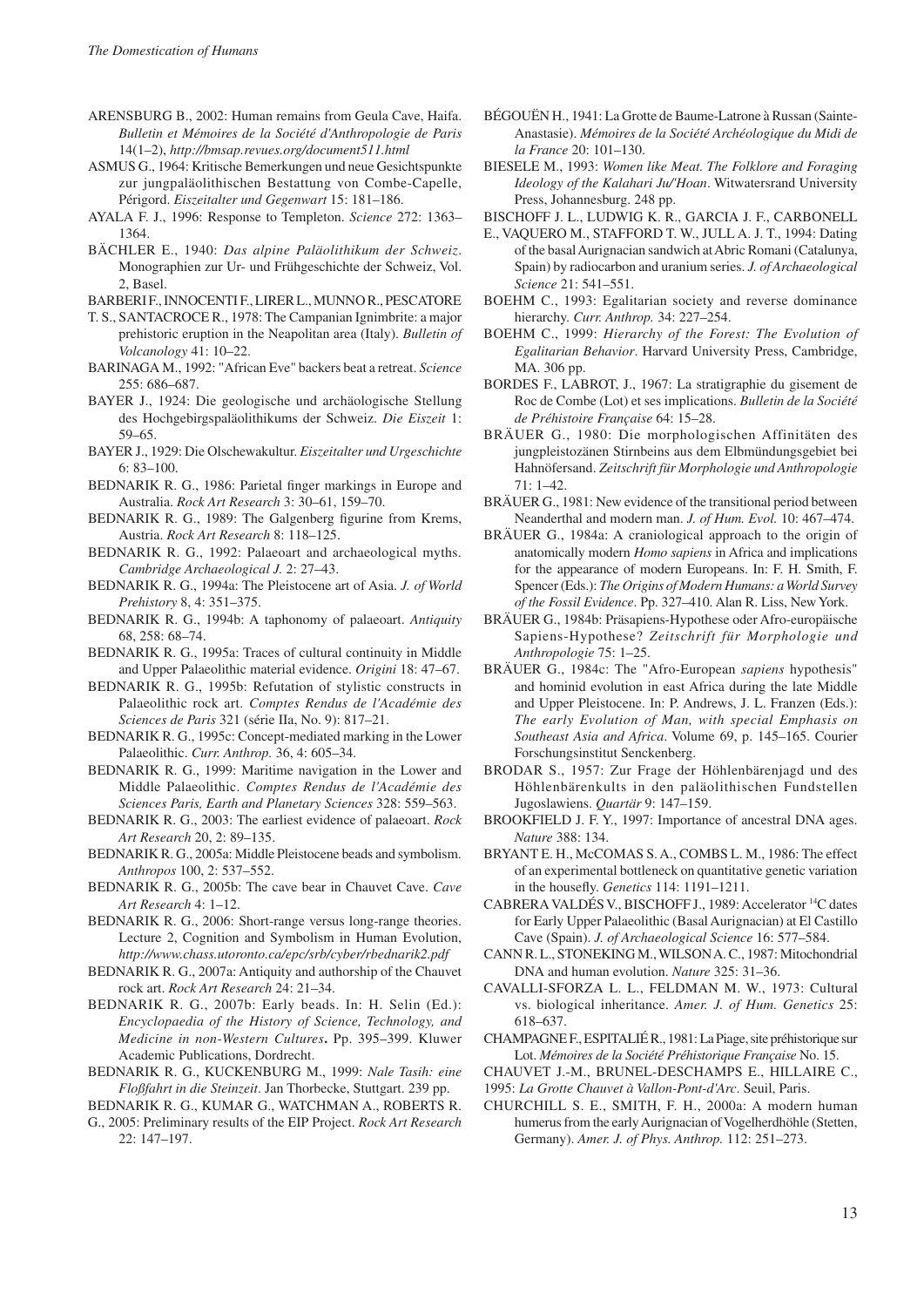- Arensburg B., 2002: Human remains from Geula Cave, Haifa. *Bulletin et Mémoires de la Société d'Anthropologie de Paris* 14(1–2), *http://bmsap.revues.org/document511.html*
- Asmus G., 1964: Kritische Bemerkungen und neue Gesichtspunkte zur jungpaläolithischen Bestattung von Combe-Capelle, Périgord. *Eiszeitalter und Gegenwart* 15: 181–186.
- Ayala F. J., 1996: Response to Templeton. *Science* 272: 1363– 1364.
- Bächler E., 1940: *Das alpine Paläolithikum der Schweiz*. Monographien zur Ur- und Frühgeschichte der Schweiz, Vol. 2, Basel.
- Barberi F., Innocenti F., Lirer L., Munno R., Pescatore
- T. S., SANTACROCE R., 1978: The Campanian Ignimbrite: a major prehistoric eruption in the Neapolitan area (Italy). *Bulletin of Volcanology* 41: 10–22.
- Barinaga M., 1992: "African Eve" backers beat a retreat. *Science* 255: 686–687.
- BAYER J., 1924: Die geologische und archäologische Stellung des Hochgebirgspaläolithikums der Schweiz. *Die Eiszeit* 1: 59–65.
- Bayer J., 1929: Die Olschewakultur. *Eiszeitalter und Urgeschichte* 6: 83–100.
- BEDNARIK R. G., 1986: Parietal finger markings in Europe and Australia. *Rock Art Research* 3: 30–61, 159–70.
- BEDNARIK R. G., 1989: The Galgenberg figurine from Krems, Austria. *Rock Art Research* 8: 118–125.
- BEDNARIK R. G., 1992: Palaeoart and archaeological myths. *Cambridge Archaeological J.* 2: 27–43.
- BEDNARIK R. G., 1994a: The Pleistocene art of Asia. *J. of World Prehistory* 8, 4: 351–375.
- BEDNARIK R. G., 1994b: A taphonomy of palaeoart. Antiquity 68, 258: 68–74.
- BEDNARIK R. G., 1995a: Traces of cultural continuity in Middle and Upper Palaeolithic material evidence. *Origini* 18: 47–67.
- BEDNARIK R. G., 1995b: Refutation of stylistic constructs in Palaeolithic rock art. *Comptes Rendus de l'Académie des Sciences de Paris* 321 (série IIa, No. 9): 817–21.
- BEDNARIK R. G., 1995c: Concept-mediated marking in the Lower Palaeolithic. *Curr. Anthrop.* 36, 4: 605–34.
- BEDNARIK R. G., 1999: Maritime navigation in the Lower and Middle Palaeolithic. *Comptes Rendus de l'Académie des Sciences Paris, Earth and Planetary Sciences* 328: 559–563.
- BEDNARIK R. G., 2003: The earliest evidence of palaeoart. *Rock Art Research* 20, 2: 89–135.
- BEDNARIK R. G., 2005a: Middle Pleistocene beads and symbolism. *Anthropos* 100, 2: 537–552.
- BEDNARIK R. G., 2005b: The cave bear in Chauvet Cave. Cave *Art Research* 4: 1–12.
- BEDNARIK R. G., 2006: Short-range versus long-range theories. Lecture 2, Cognition and Symbolism in Human Evolution, *http://www.chass.utoronto.ca/epc/srb/cyber/rbednarik2.pdf*
- BEDNARIK R. G., 2007a: Antiquity and authorship of the Chauvet rock art. *Rock Art Research* 24: 21–34.
- BEDNARIK R. G., 2007b: Early beads. In: H. Selin (Ed.): *Encyclopaedia of the History of Science, Technology, and Medicine in non-Western Cultures***.** Pp. 395–399. Kluwer Academic Publications, Dordrecht.
- Bednarik R. G., Kuckenburg M., 1999: *Nale Tasih: eine Floßfahrt in die Steinzeit*. Jan Thorbecke, Stuttgart. 239 pp.
- Bednarik R. G., Kumar G., Watchman A., Roberts R. G., 2005: Preliminary results of the EIP Project. *Rock Art Research* 22: 147–197.
- Bégouën H., 1941: La Grotte de Baume-Latrone à Russan (Sainte-Anastasie). *Mémoires de la Société Archéologique du Midi de la France* 20: 101–130.
- Biesele M., 1993: *Women like Meat. The Folklore and Foraging Ideology of the Kalahari Ju/'Hoan*. Witwatersrand University Press, Johannesburg. 248 pp.
- Bischoff J. L., Ludwig K. R., Garcia J. F., Carbonell
- E., Vaquero M., Stafford T. W., Jull A. J. T., 1994: Dating of the basal Aurignacian sandwich at Abric Romani (Catalunya, Spain) by radiocarbon and uranium series. *J. of Archaeological Science* 21: 541–551.
- BOEHM C., 1993: Egalitarian society and reverse dominance hierarchy. *Curr. Anthrop.* 34: 227–254.
- BOEHM C., 1999: *Hierarchy of the Forest: The Evolution of Egalitarian Behavior*. Harvard University Press, Cambridge, MA. 306 pp.
- Bordes F., Labrot, J., 1967: La stratigraphie du gisement de Roc de Combe (Lot) et ses implications. *Bulletin de la Société de Préhistoire Française* 64: 15–28.
- Bräuer G., 1980: Die morphologischen Affinitäten des jungpleistozänen Stirnbeins aus dem Elbmündungsgebiet bei Hahnöfersand. *Zeitschrift für Morphologie und Anthropologie*  71: 1–42.
- BRÄUER G., 1981: New evidence of the transitional period between Neanderthal and modern man. *J. of Hum. Evol.* 10: 467–474.
- BRÄUER G., 1984a: A craniological approach to the origin of anatomically modern *Homo sapiens* in Africa and implications for the appearance of modern Europeans. In: F. H. Smith, F. Spencer (Eds.): *The Origins of Modern Humans: a World Survey of the Fossil Evidence*. Pp. 327–410. Alan R. Liss, New York.
- BRÄUER G., 1984b: Präsapiens-Hypothese oder Afro-europäische Sapiens-Hypothese? *Zeitschrift für Morphologie und Anthropologie* 75: 1–25.
- Bräuer G., 1984c: The "Afro-European *sapiens* hypothesis" and hominid evolution in east Africa during the late Middle and Upper Pleistocene. In: P. Andrews, J. L. Franzen (Eds.): *The early Evolution of Man, with special Emphasis on Southeast Asia and Africa*. Volume 69, p. 145–165. Courier Forschungsinstitut Senckenberg.
- Brodar S., 1957: Zur Frage der Höhlenbärenjagd und des Höhlenbärenkults in den paläolithischen Fundstellen Jugoslawiens. *Quartär* 9: 147–159.
- BROOKFIELD J. F. Y., 1997: Importance of ancestral DNA ages. *Nature* 388: 134.
- Bryant E. H., McComas S. A., Combs L. M., 1986: The effect of an experimental bottleneck on quantitative genetic variation in the housefly. *Genetics* 114: 1191–1211.
- Cabrera Valdés V., Bischoff J., 1989: Accelerator 14C dates for Early Upper Palaeolithic (Basal Aurignacian) at El Castillo Cave (Spain). *J. of Archaeological Science* 16: 577–584.
- Cann R. L., Stoneking M., WilsonA. C., 1987: Mitochondrial DNA and human evolution. *Nature* 325: 31–36.
- Cavalli-Sforza L. L., Feldman M. W., 1973: Cultural vs. biological inheritance. *Amer. J. of Hum. Genetics* 25: 618–637.
- Champagne F., Espitalié R., 1981: La Piage, site préhistorique sur Lot. *Mémoires de la Société Préhistorique Française* No. 15.
- Chauvet J.-M., Brunel-Deschamps E., Hillaire C.,
- 1995: *La Grotte Chauvet à Vallon-Pont-d'Arc*. Seuil, Paris.
- Churchill S. E., Smith, F. H., 2000a: A modern human humerus from the early Aurignacian of Vogelherdhöhle (Stetten, Germany). *Amer. J. of Phys. Anthrop.* 112: 251–273.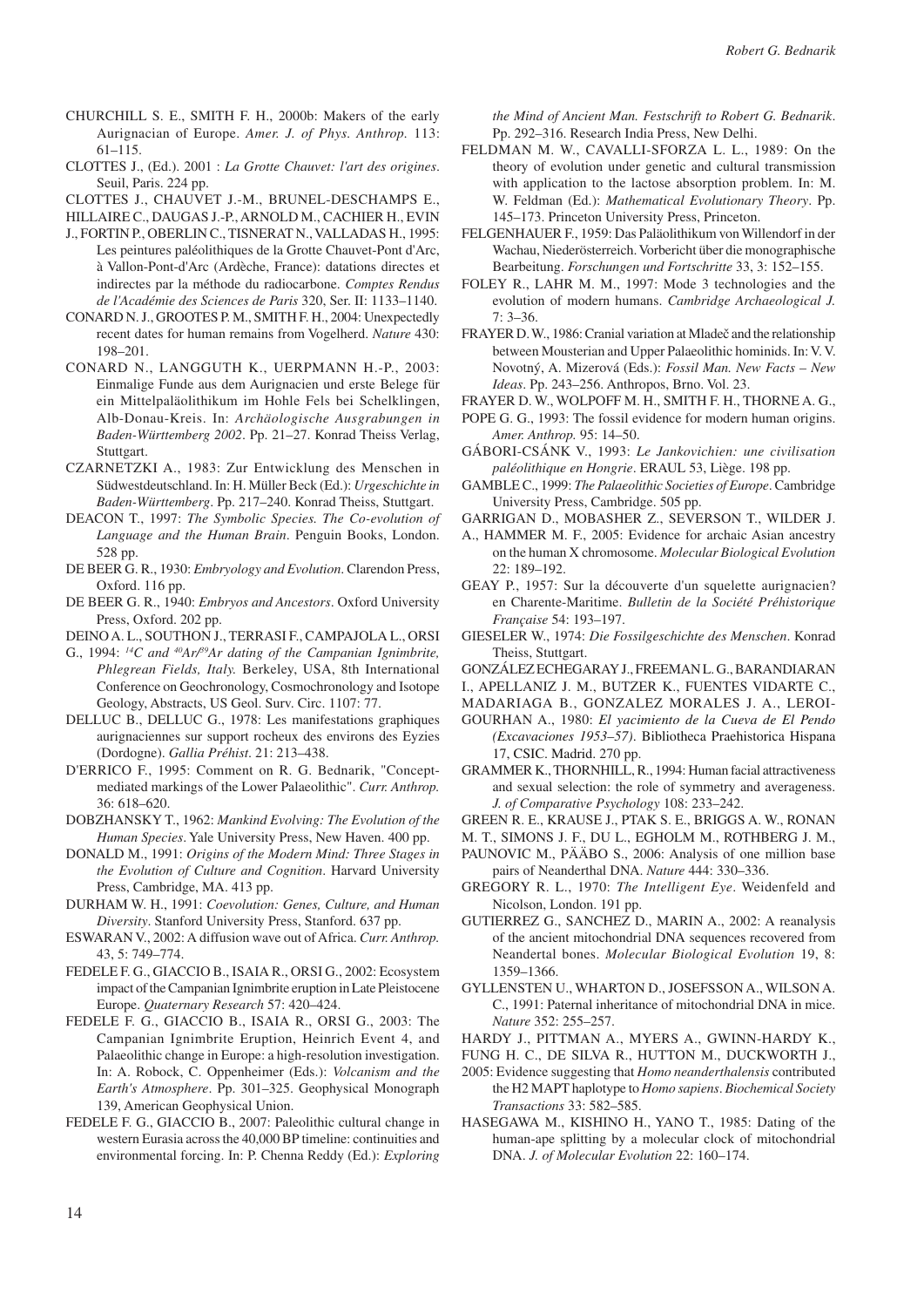- Churchill S. E., Smith F. H., 2000b: Makers of the early Aurignacian of Europe. *Amer. J. of Phys. Anthrop.* 113: 61–115.
- Clottes J., (Ed.). 2001 : *La Grotte Chauvet: l'art des origines*. Seuil, Paris. 224 pp.

Clottes J., Chauvet J.-M., Brunel-Deschamps E.,

Hillaire C., Daugas J.-P., Arnold M., Cachier H., Evin

- J., Fortin P., Oberlin C., Tisnerat N., Valladas H., 1995: Les peintures paléolithiques de la Grotte Chauvet-Pont d'Arc, à Vallon-Pont-d'Arc (Ardèche, France): datations directes et indirectes par la méthode du radiocarbone. *Comptes Rendus de l'Académie des Sciences de Paris* 320, Ser. II: 1133–1140.
- Conard N. J., Grootes P. M., Smith F. H., 2004: Unexpectedly recent dates for human remains from Vogelherd. *Nature* 430: 198–201.
- Conard N., Langguth K., Uerpmann H.-P., 2003: Einmalige Funde aus dem Aurignacien und erste Belege für ein Mittelpaläolithikum im Hohle Fels bei Schelklingen, Alb-Donau-Kreis. In: *Archäologische Ausgrabungen in Baden-Württemberg 2002*. Pp. 21–27. Konrad Theiss Verlag, Stuttgart.
- CZARNETZKI A., 1983: Zur Entwicklung des Menschen in Südwestdeutschland. In: H. Müller Beck (Ed.): *Urgeschichte in Baden-Württemberg*. Pp. 217–240. Konrad Theiss, Stuttgart.
- Deacon T., 1997: *The Symbolic Species. The Co-evolution of Language and the Human Brain*. Penguin Books, London. 528 pp.
- De Beer G. R., 1930: *Embryology and Evolution*. Clarendon Press, Oxford. 116 pp.
- De Beer G. R., 1940: *Embryos and Ancestors*. Oxford University Press, Oxford. 202 pp.
- Deino A. L., Southon J., Terrasi F., Campajola L., Orsi
- G., 1994: <sup>14</sup>C and <sup>40</sup>Ar<sup>89</sup>Ar dating of the Campanian Ignimbrite, *Phlegrean Fields, Italy.* Berkeley, USA, 8th International Conference on Geochronology, Cosmochronology and Isotope Geology, Abstracts, US Geol. Surv. Circ. 1107: 77.
- Delluc B., Delluc G., 1978: Les manifestations graphiques aurignaciennes sur support rocheux des environs des Eyzies (Dordogne). *Gallia Préhist*. 21: 213–438.
- D'ERRICO F., 1995: Comment on R. G. Bednarik, "Conceptmediated markings of the Lower Palaeolithic". *Curr. Anthrop.* 36: 618–620.
- DOBZHANSKY T., 1962: *Mankind Evolving: The Evolution of the Human Species*. Yale University Press, New Haven. 400 pp.
- Donald M., 1991: *Origins of the Modern Mind: Three Stages in the Evolution of Culture and Cognition*. Harvard University Press, Cambridge, MA. 413 pp.
- Durham W. H., 1991: *Coevolution: Genes, Culture, and Human Diversity*. Stanford University Press, Stanford. 637 pp.
- ESWARAN V., 2002: A diffusion wave out of Africa. *Curr. Anthrop*. 43, 5: 749–774.
- Fedele F. G., Giaccio B., Isaia R., Orsi G., 2002: Ecosystem impact of the Campanian Ignimbrite eruption in Late Pleistocene Europe. *Quaternary Research* 57: 420–424.
- Fedele F. G., Giaccio B., Isaia R., Orsi G., 2003: The Campanian Ignimbrite Eruption, Heinrich Event 4, and Palaeolithic change in Europe: a high-resolution investigation. In: A. Robock, C. Oppenheimer (Eds.): *Volcanism and the Earth's Atmosphere*. Pp. 301–325. Geophysical Monograph 139, American Geophysical Union.
- FEDELE F. G., GIACCIO B., 2007: Paleolithic cultural change in western Eurasia across the 40,000 BP timeline: continuities and environmental forcing. In: P. Chenna Reddy (Ed.): *Exploring*

*the Mind of Ancient Man. Festschrift to Robert G. Bednarik*. Pp. 292–316. Research India Press, New Delhi.

- Feldman M. W., Cavalli-Sforza L. L., 1989: On the theory of evolution under genetic and cultural transmission with application to the lactose absorption problem. In: M. W. Feldman (Ed.): *Mathematical Evolutionary Theory*. Pp. 145–173. Princeton University Press, Princeton.
- FELGENHAUER F., 1959: Das Paläolithikum von Willendorf in der Wachau, Niederösterreich. Vorbericht über die monographische Bearbeitung. *Forschungen und Fortschritte* 33, 3: 152–155.
- Foley R., Lahr M. M., 1997: Mode 3 technologies and the evolution of modern humans. *Cambridge Archaeological J.*  7: 3–36.
- FRAYER D. W., 1986: Cranial variation at Mladeč and the relationship between Mousterian and Upper Palaeolithic hominids. In: V. V. Novotný, A. Mizerová (Eds.): *Fossil Man. New Facts – New Ideas*. Pp. 243–256. Anthropos, Brno. Vol. 23.
- Frayer D. W., Wolpoff M. H., Smith F. H., Thorne A. G.,
- POPE G. G., 1993: The fossil evidence for modern human origins. *Amer. Anthrop.* 95: 14–50.
- GÁbori-CsÁnk V., 1993: *Le Jankovichien: une civilisation paléolithique en Hongrie*. ERAUL 53, Liège. 198 pp.
- Gamble C., 1999: *The Palaeolithic Societies of Europe*. Cambridge University Press, Cambridge. 505 pp.
- Garrigan D., Mobasher Z., Severson T., Wilder J.
- A., HAMMER M. F., 2005: Evidence for archaic Asian ancestry on the human X chromosome. *Molecular Biological Evolution* 22: 189–192.
- GEAY P., 1957: Sur la découverte d'un squelette aurignacien? en Charente-Maritime. *Bulletin de la Société Préhistorique Française* 54: 193–197.
- Gieseler W., 1974: *Die Fossilgeschichte des Menschen*. Konrad Theiss, Stuttgart.
- GONZÁLEZ ECHEGARAY J., FREEMAN L. G., BARANDIARAN
- I., Apellaniz J. M., Butzer K., Fuentes Vidarte C.,
- Madariaga B., Gonzalez Morales J. A., Leroi-
- Gourhan A., 1980: *El yacimiento de la Cueva de El Pendo (Excavaciones 1953–57)*. Bibliotheca Praehistorica Hispana 17, CSIC. Madrid. 270 pp.
- GRAMMER K., THORNHILL, R., 1994: Human facial attractiveness and sexual selection: the role of symmetry and averageness. *J. of Comparative Psychology* 108: 233–242.
- Green R. E., Krause J., Ptak S. E., Briggs A. W., Ronan
- M. T., Simons J. F., Du L., Egholm M., Rothberg J. M.,
- PAUNOVIC M., PÄÄBO S., 2006: Analysis of one million base pairs of Neanderthal DNA. *Nature* 444: 330–336.
- GREGORY R. L., 1970: The Intelligent Eye. Weidenfeld and Nicolson, London. 191 pp.
- GUTIERREZ G., SANCHEZ D., MARIN A., 2002: A reanalysis of the ancient mitochondrial DNA sequences recovered from Neandertal bones. *Molecular Biological Evolution* 19, 8: 1359–1366.
- Gyllensten U., Wharton D., Josefsson A., Wilson A. C., 1991: Paternal inheritance of mitochondrial DNA in mice. *Nature* 352: 255–257.

Fung H. C., de Silva R., Hutton M., Duckworth J.,

- 2005: Evidence suggesting that *Homo neanderthalensis* contributed the H2 MAPT haplotype to *Homo sapiens*. *Biochemical Society Transactions* 33: 582–585.
- Hasegawa M., Kishino H., Yano T., 1985: Dating of the human-ape splitting by a molecular clock of mitochondrial DNA. *J. of Molecular Evolution* 22: 160–174.

Hardy J., Pittman A., Myers A., Gwinn-Hardy K.,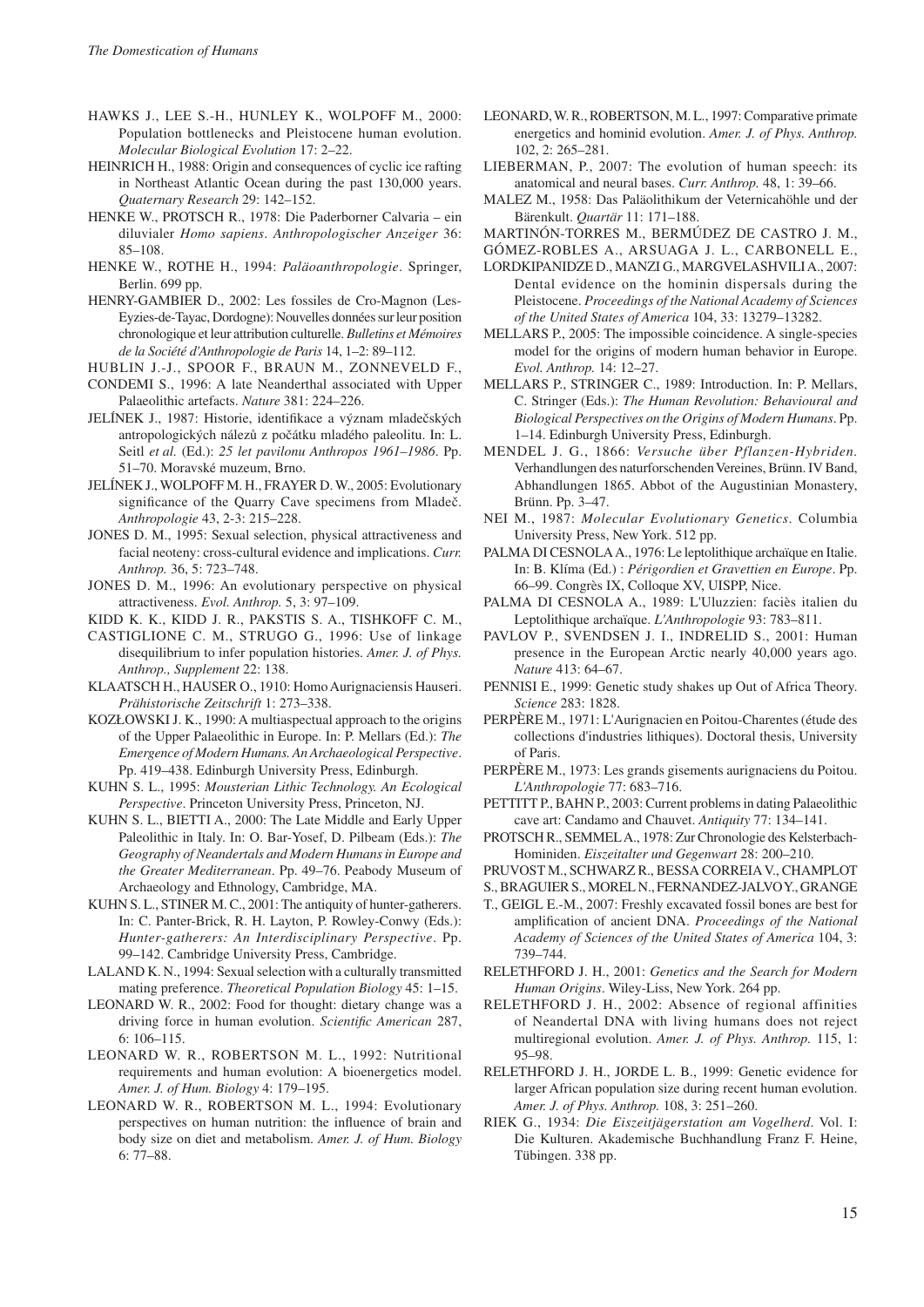- Hawks J., Lee S.-H., Hunley K., Wolpoff M., 2000: Population bottlenecks and Pleistocene human evolution. *Molecular Biological Evolution* 17: 2–22.
- HEINRICH H., 1988: Origin and consequences of cyclic ice rafting in Northeast Atlantic Ocean during the past 130,000 years. *Quaternary Research* 29: 142–152.
- HENKE W., PROTSCH R., 1978: Die Paderborner Calvaria ein diluvialer *Homo sapiens*. *Anthropologischer Anzeiger* 36: 85–108.
- HENKE W., ROTHE H., 1994: *Paläoanthropologie*. Springer, Berlin. 699 pp.
- Henry-Gambier D., 2002: Les fossiles de Cro-Magnon (Les-Eyzies-de-Tayac, Dordogne): Nouvelles données sur leur position chronologique et leur attribution culturelle. *Bulletins et Mémoires de la Société d'Anthropologie de Paris* 14, 1–2: 89–112.
- Hublin J.-J., Spoor F., Braun M., Zonneveld F.,
- CONDEMI S., 1996: A late Neanderthal associated with Upper Palaeolithic artefacts. *Nature* 381: 224–226.
- Jelínek J., 1987: Historie, identifikace a význam mladečských antropologických nálezů z počátku mladého paleolitu. In: L. Seitl *et al.* (Ed.): *25 let pavilonu Anthropos 1961–1986*. Pp. 51–70. Moravské muzeum, Brno.
- Jelínek J., Wolpoff M. H., Frayer D. W., 2005: Evolutionary significance of the Quarry Cave specimens from Mladeč. *Anthropologie* 43, 2-3: 215–228.
- JONES D. M., 1995: Sexual selection, physical attractiveness and facial neoteny: cross-cultural evidence and implications. *Curr. Anthrop.* 36, 5: 723–748.
- JONES D. M., 1996: An evolutionary perspective on physical attractiveness. *Evol. Anthrop.* 5, 3: 97–109.
- Kidd K. K., Kidd J. R., Pakstis S. A., Tishkoff C. M.,
- Castiglione C. M., Strugo G., 1996: Use of linkage disequilibrium to infer population histories. *Amer. J. of Phys. Anthrop., Supplement* 22: 138.
- Klaatsch H., Hauser O., 1910: Homo Aurignaciensis Hauseri. *Prähistorische Zeitschrift* 1: 273–338.
- Kozłowski J. K., 1990: A multiaspectual approach to the origins of the Upper Palaeolithic in Europe. In: P. Mellars (Ed.): *The Emergence of Modern Humans. An Archaeological Perspective*. Pp. 419–438. Edinburgh University Press, Edinburgh.
- Kuhn S. L., 1995: *Mousterian Lithic Technology. An Ecological Perspective*. Princeton University Press, Princeton, NJ.
- KUHN S. L., BIETTI A., 2000: The Late Middle and Early Upper Paleolithic in Italy. In: O. Bar-Yosef, D. Pilbeam (Eds.): *The Geography of Neandertals and Modern Humans in Europe and the Greater Mediterranean*. Pp. 49–76. Peabody Museum of Archaeology and Ethnology, Cambridge, MA.
- KUHN S. L., STINER M. C., 2001: The antiquity of hunter-gatherers. In: C. Panter-Brick, R. H. Layton, P. Rowley-Conwy (Eds.): *Hunter-gatherers: An Interdisciplinary Perspective*. Pp. 99–142. Cambridge University Press, Cambridge.
- LALAND K. N., 1994: Sexual selection with a culturally transmitted mating preference. *Theoretical Population Biology* 45: 1–15.
- LEONARD W. R., 2002: Food for thought: dietary change was a driving force in human evolution. *Scientific American* 287, 6: 106–115.
- LEONARD W. R., ROBERTSON M. L., 1992: Nutritional requirements and human evolution: a bioenergetics model. *Amer. J. of Hum. Biology* 4: 179–195.
- LEONARD W. R., ROBERTSON M. L., 1994: Evolutionary perspectives on human nutrition: the influence of brain and body size on diet and metabolism. *Amer. J. of Hum. Biology* 6: 77–88.
- LEONARD, W. R., ROBERTSON, M. L., 1997: Comparative primate energetics and hominid evolution. *Amer. J. of Phys. Anthrop.* 102, 2: 265–281.
- LIEBERMAN, P., 2007: The evolution of human speech: its anatomical and neural bases. *Curr. Anthrop.* 48, 1: 39–66.
- Malez M., 1958: Das Paläolithikum der Veternicahöhle und der Bärenkult. *Quartär* 11: 171–188.
- Martinón-Torres M., Bermúdez de Castro J. M.,

- Lordkipanidze D., Manzi G., MargvelashviliA., 2007: Dental evidence on the hominin dispersals during the Pleistocene. *Proceedings of the National Academy of Sciences of the United States of America* 104, 33: 13279–13282.
- Mellars P., 2005: The impossible coincidence. A single-species model for the origins of modern human behavior in Europe. *Evol. Anthrop.* 14: 12–27.
- Mellars P., Stringer C., 1989: Introduction. In: P. Mellars, C. Stringer (Eds.): *The Human Revolution: Behavioural and Biological Perspectives on the Origins of Modern Humans*. Pp. 1–14. Edinburgh University Press, Edinburgh.
- Mendel J. G., 1866: *Versuche über Pflanzen-Hybriden.* Verhandlungen des naturforschenden Vereines, Brünn. IV Band, Abhandlungen 1865. Abbot of the Augustinian Monastery, Brünn. Pp. 3–47.
- Nei M., 1987: *Molecular Evolutionary Genetics*. Columbia University Press, New York. 512 pp.
- PALMA DI CESNOLA A., 1976: Le leptolithique archaïque en Italie. In: B. Klíma (Ed.) : *Périgordien et Gravettien en Europe*. Pp. 66–99. Congrès IX, Colloque XV, UISPP, Nice.
- PALMA DI CESNOLA A., 1989: L'Uluzzien: faciès italien du Leptolithique archaïque. *L'Anthropologie* 93: 783–811.
- PAVLOV P., SVENDSEN J. I., INDRELID S., 2001: Human presence in the European Arctic nearly 40,000 years ago. *Nature* 413: 64–67.
- PENNISI E., 1999: Genetic study shakes up Out of Africa Theory. *Science* 283: 1828.
- PERPÈRE M., 1971: L'Aurignacien en Poitou-Charentes (étude des collections d'industries lithiques). Doctoral thesis, University of Paris.
- PERPÈRE M., 1973: Les grands gisements aurignaciens du Poitou. *L'Anthropologie* 77: 683–716.
- PETTITT P., BAHN P., 2003: Current problems in dating Palaeolithic cave art: Candamo and Chauvet. *Antiquity* 77: 134–141.
- PROTSCH R., SEMMEL A., 1978: Zur Chronologie des Kelsterbach-Hominiden. *Eiszeitalter und Gegenwart* 28: 200–210.

- T., GEIGL E.-M., 2007: Freshly excavated fossil bones are best for amplification of ancient DNA. *Proceedings of the National Academy of Sciences of the United States of America* 104, 3: 739–744.
- RELETHFORD J. H., 2001: *Genetics and the Search for Modern Human Origins*. Wiley-Liss, New York. 264 pp.
- RELETHFORD J. H., 2002: Absence of regional affinities of Neandertal DNA with living humans does not reject multiregional evolution. *Amer. J. of Phys. Anthrop.* 115, 1: 95–98.
- RELETHFORD J. H., JORDE L. B., 1999: Genetic evidence for larger African population size during recent human evolution. *Amer. J. of Phys. Anthrop.* 108, 3: 251–260.
- Riek G., 1934: *Die Eiszeitjägerstation am Vogelherd*. Vol. I: Die Kulturen. Akademische Buchhandlung Franz F. Heine, Tübingen. 338 pp.

Gómez-Robles A., Arsuaga J. L., Carbonell E.,

Pruvost M., Schwarz R., Bessa Correia V., Champlot

S., Braguier S., Morel N., Fernandez-Jalvo Y., Grange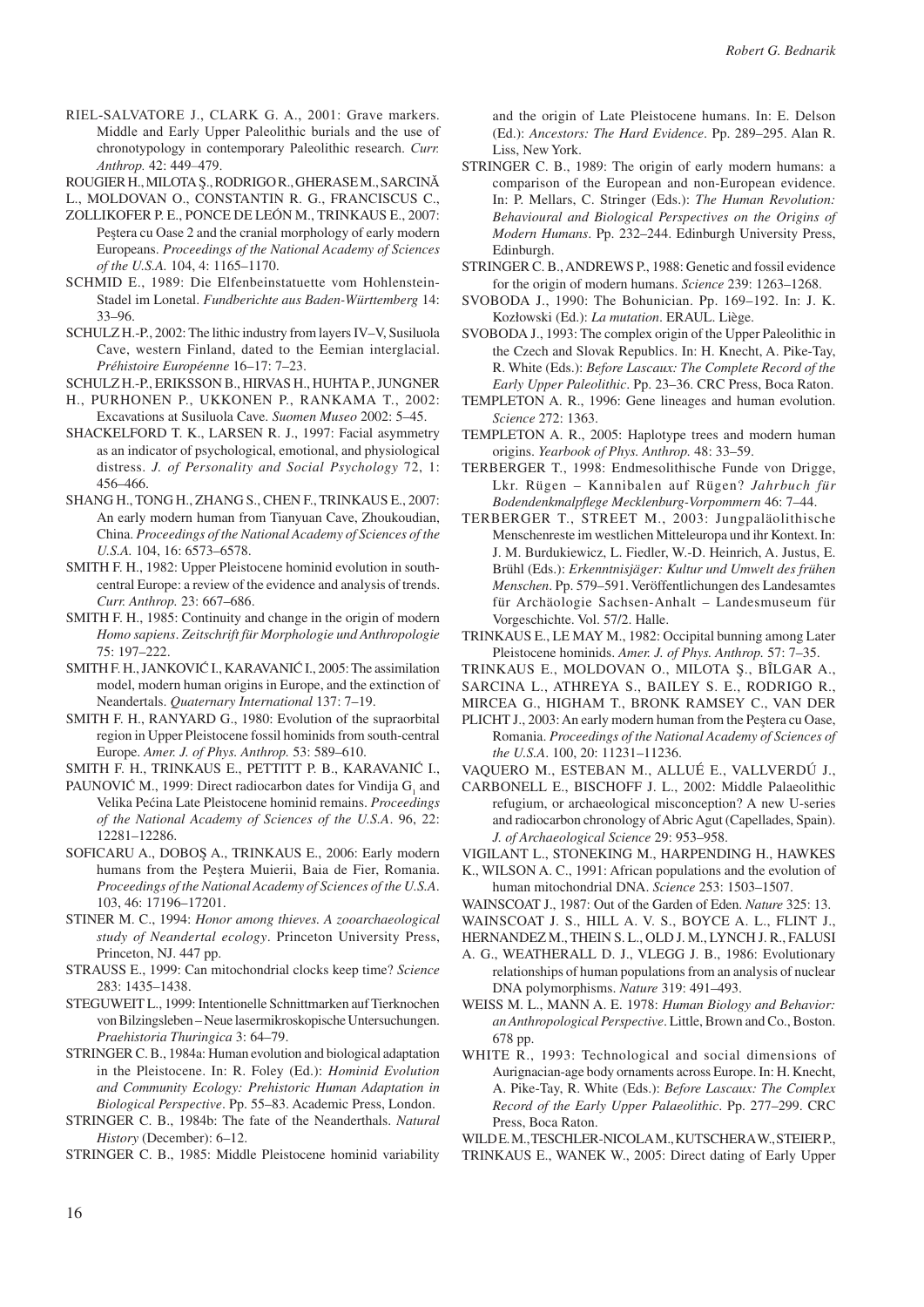Riel-Salvatore J., Clark G. A., 2001: Grave markers. Middle and Early Upper Paleolithic burials and the use of chronotypology in contemporary Paleolithic research. *Curr. Anthrop.* 42: 449–479.

Rougier H., Milota ş., Rodrigo R., Gherase M., Sarcină

L., Moldovan O., Constantin R. G., Franciscus C.,

- Zollikofer P. E., Ponce de León M., Trinkaus E., 2007: Peştera cu Oase 2 and the cranial morphology of early modern Europeans. *Proceedings of the National Academy of Sciences of the U.S.A.* 104, 4: 1165–1170.
- SCHMID E., 1989: Die Elfenbeinstatuette vom Hohlenstein-Stadel im Lonetal. *Fundberichte aus Baden-Württemberg* 14: 33–96.
- Schulz H.-P., 2002: The lithic industry from layers IV–V, Susiluola Cave, western Finland, dated to the Eemian interglacial. *Préhistoire Européenne* 16–17: 7–23.
- Schulz H.-P., Eriksson B., Hirvas H., Huhta P., Jungner
- H., Purhonen P., Ukkonen P., Rankama T., 2002: Excavations at Susiluola Cave. *Suomen Museo* 2002: 5–45.
- SHACKELFORD T. K., LARSEN R. J., 1997: Facial asymmetry as an indicator of psychological, emotional, and physiological distress. *J. of Personality and Social Psychology* 72, 1: 456–466.
- Shang H., Tong H., Zhang S., Chen F., Trinkaus E., 2007: An early modern human from Tianyuan Cave, Zhoukoudian, China. *Proceedings of the National Academy of Sciences of the U.S.A.* 104, 16: 6573–6578.
- SMITH F. H., 1982: Upper Pleistocene hominid evolution in southcentral Europe: a review of the evidence and analysis of trends. *Curr. Anthrop.* 23: 667–686.
- SMITH F. H., 1985: Continuity and change in the origin of modern *Homo sapiens*. *Zeitschrift für Morphologie und Anthropologie* 75: 197–222.
- SMITH F. H., JANKOVIĆ I., KARAVANIĆ I., 2005: The assimilation model, modern human origins in Europe, and the extinction of Neandertals. *Quaternary International* 137: 7–19.
- SMITH F. H., RANYARD G., 1980: Evolution of the supraorbital region in Upper Pleistocene fossil hominids from south-central Europe. *Amer. J. of Phys. Anthrop.* 53: 589–610.

Smith F. H., Trinkaus E., Pettitt P. B., Karavanić I.,

- PAUNOVIĆ M., 1999: Direct radiocarbon dates for Vindija  $G_1$  and Velika Pećina Late Pleistocene hominid remains. *Proceedings of the National Academy of Sciences of the U.S.A*. 96, 22: 12281–12286.
- Soficaru A., Doboş A., Trinkaus E., 2006: Early modern humans from the Peştera Muierii, Baia de Fier, Romania. *Proceedings of the National Academy of Sciences of the U.S.A*. 103, 46: 17196–17201.
- Stiner M. C., 1994: *Honor among thieves. A zooarchaeological study of Neandertal ecology*. Princeton University Press, Princeton, NJ. 447 pp.
- Strauss E., 1999: Can mitochondrial clocks keep time? *Science* 283: 1435–1438.
- STEGUWEIT L., 1999: Intentionelle Schnittmarken auf Tierknochen von Bilzingsleben – Neue lasermikroskopische Untersuchungen. *Praehistoria Thuringica* 3: 64–79.
- STRINGER C. B., 1984a: Human evolution and biological adaptation in the Pleistocene. In: R. Foley (Ed.): *Hominid Evolution and Community Ecology: Prehistoric Human Adaptation in Biological Perspective*. Pp. 55–83. Academic Press, London.
- STRINGER C. B., 1984b: The fate of the Neanderthals. *Natural History* (December): 6–12.

STRINGER C. B., 1985: Middle Pleistocene hominid variability

and the origin of Late Pleistocene humans. In: E. Delson (Ed.): *Ancestors: The Hard Evidence*. Pp. 289–295. Alan R. Liss, New York.

- STRINGER C. B., 1989: The origin of early modern humans: a comparison of the European and non-European evidence. In: P. Mellars, C. Stringer (Eds.): *The Human Revolution: Behavioural and Biological Perspectives on the Origins of Modern Humans*. Pp. 232–244. Edinburgh University Press, Edinburgh.
- STRINGER C. B., ANDREWS P., 1988: Genetic and fossil evidence for the origin of modern humans. *Science* 239: 1263–1268.
- Svoboda J., 1990: The Bohunician. Pp. 169–192. In: J. K. Kozłowski (Ed.): *La mutation*. ERAUL. Liège.
- Svoboda J., 1993: The complex origin of the Upper Paleolithic in the Czech and Slovak Republics. In: H. Knecht, A. Pike-Tay, R. White (Eds.): *Before Lascaux: The Complete Record of the Early Upper Paleolithic*. Pp. 23–36. CRC Press, Boca Raton.
- TEMPLETON A. R., 1996: Gene lineages and human evolution. *Science* 272: 1363.
- TEMPLETON A. R., 2005: Haplotype trees and modern human origins. *Yearbook of Phys. Anthrop.* 48: 33–59.
- TERBERGER T., 1998: Endmesolithische Funde von Drigge, Lkr. Rügen – Kannibalen auf Rügen? *Jahrbuch für Bodendenkmalpflege Mecklenburg-Vorpommern* 46: 7–44.
- TERBERGER T., STREET M., 2003: Jungpaläolithische Menschenreste im westlichen Mitteleuropa und ihr Kontext. In: J. M. Burdukiewicz, L. Fiedler, W.-D. Heinrich, A. Justus, E. Brühl (Eds.): *Erkenntnisjäger: Kultur und Umwelt des frühen Menschen*. Pp. 579–591. Veröffentlichungen des Landesamtes für Archäologie Sachsen-Anhalt – Landesmuseum für Vorgeschichte. Vol. 57/2. Halle.
- Trinkaus E., Le May M., 1982: Occipital bunning among Later Pleistocene hominids. *Amer. J. of Phys. Anthrop.* 57: 7–35.
- Trinkaus E., Moldovan O., Milota ş., Bîlgar A.,
- Sarcina L., Athreya S., Bailey S. E., Rodrigo R.,
- Mircea G., Higham T., Bronk Ramsey C., van der
- PLICHT J., 2003: An early modern human from the Peştera cu Oase, Romania. *Proceedings of the National Academy of Sciences of the U.S.A*. 100, 20: 11231–11236.

Vaquero M., Esteban M., Allué E., Vallverdú J.,

- CARBONELL E., BISCHOFF J. L., 2002: Middle Palaeolithic refugium, or archaeological misconception? A new U-series and radiocarbon chronology of Abric Agut (Capellades, Spain). *J. of Archaeological Science* 29: 953–958.
- Vigilant L., Stoneking M., Harpending H., Hawkes
- K., WILSON A. C., 1991: African populations and the evolution of human mitochondrial DNA. *Science* 253: 1503–1507.
- Wainscoat J., 1987: Out of the Garden of Eden. *Nature* 325: 13.

Wainscoat J. S., Hill A. V. S., Boyce A. L., Flint J.,

- Hernandez M., Thein S. L., Old J. M., Lynch J. R., Falusi
- A. G., WEATHERALL D. J., VLEGG J. B., 1986: Evolutionary relationships of human populations from an analysis of nuclear DNA polymorphisms. *Nature* 319: 491–493.
- Weiss M. L., Mann A. E. 1978: *Human Biology and Behavior: an Anthropological Perspective*. Little, Brown and Co., Boston. 678 pp.
- WHITE R., 1993: Technological and social dimensions of Aurignacian-age body ornaments across Europe. In: H. Knecht, A. Pike-Tay, R. White (Eds.): *Before Lascaux: The Complex Record of the Early Upper Palaeolithic*. Pp. 277–299. CRC Press, Boca Raton.

Wild E. M., Teschler-Nicola M., Kutschera W., Steier P.,

TRINKAUS E., WANEK W., 2005: Direct dating of Early Upper